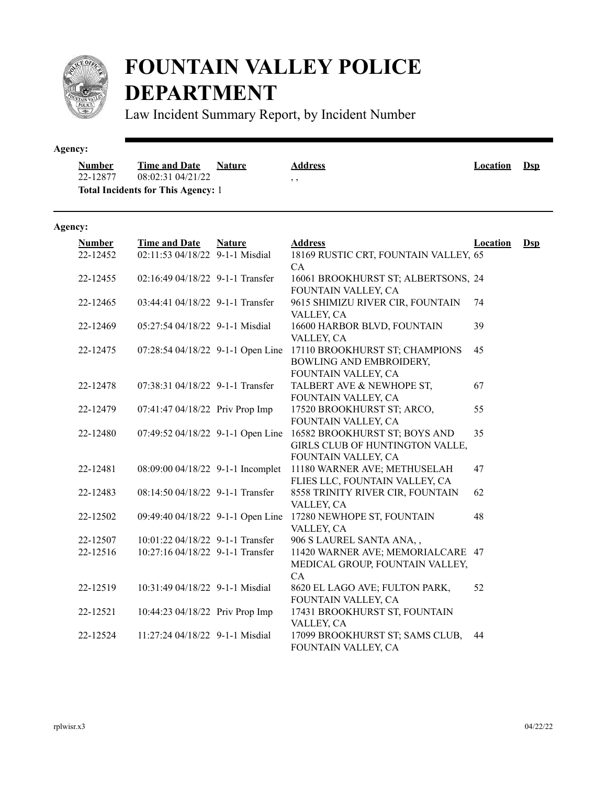

# **FOUNTAIN VALLEY POLICE DEPARTMENT**

Law Incident Summary Report, by Incident Number

#### **Agency:**

| <b>Number</b> | <b>Time and Date</b>                      | <b>Nature</b> | <b>Address</b> | Location | <u>Dsp</u> |
|---------------|-------------------------------------------|---------------|----------------|----------|------------|
| 22-12877      | 08:02:31 04/21/22                         |               | , ,            |          |            |
|               | <b>Total Incidents for This Agency: 1</b> |               |                |          |            |

### **Agency:**

| <b>Number</b>        | <b>Time and Date</b>                                                 | <b>Nature</b> | <b>Address</b>                                                                                   | <b>Location</b> | $Dep$ |
|----------------------|----------------------------------------------------------------------|---------------|--------------------------------------------------------------------------------------------------|-----------------|-------|
| 22-12452             | 02:11:53 04/18/22 9-1-1 Misdial                                      |               | 18169 RUSTIC CRT, FOUNTAIN VALLEY, 65<br>CA                                                      |                 |       |
| 22-12455             | 02:16:49 04/18/22 9-1-1 Transfer                                     |               | 16061 BROOKHURST ST; ALBERTSONS, 24<br>FOUNTAIN VALLEY, CA                                       |                 |       |
| 22-12465             | 03:44:41 04/18/22 9-1-1 Transfer                                     |               | 9615 SHIMIZU RIVER CIR, FOUNTAIN                                                                 | 74              |       |
| 22-12469             | $05:27:5404/18/229--11$ Misdial                                      |               | VALLEY, CA<br>16600 HARBOR BLVD, FOUNTAIN                                                        | 39              |       |
| 22-12475             | 07:28:54 04/18/22 9-1-1 Open Line                                    |               | VALLEY, CA<br>17110 BROOKHURST ST; CHAMPIONS<br>BOWLING AND EMBROIDERY,<br>FOUNTAIN VALLEY, CA   | 45              |       |
| 22-12478             | 07:38:31 04/18/22 9-1-1 Transfer                                     |               | TALBERT AVE & NEWHOPE ST,<br>FOUNTAIN VALLEY, CA                                                 | 67              |       |
| 22-12479             | 07:41:47 04/18/22 Priv Prop Imp                                      |               | 17520 BROOKHURST ST; ARCO,<br>FOUNTAIN VALLEY, CA                                                | 55              |       |
| 22-12480             | 07:49:52 04/18/22 9-1-1 Open Line                                    |               | 16582 BROOKHURST ST; BOYS AND<br>GIRLS CLUB OF HUNTINGTON VALLE,<br>FOUNTAIN VALLEY, CA          | 35              |       |
| 22-12481             | 08:09:00 04/18/22 9-1-1 Incomplet                                    |               | 11180 WARNER AVE; METHUSELAH<br>FLIES LLC, FOUNTAIN VALLEY, CA                                   | 47              |       |
| 22-12483             | 08:14:50 04/18/22 9-1-1 Transfer                                     |               | 8558 TRINITY RIVER CIR, FOUNTAIN<br>VALLEY, CA                                                   | 62              |       |
| 22-12502             | 09:49:40 04/18/22 9-1-1 Open Line                                    |               | 17280 NEWHOPE ST, FOUNTAIN<br>VALLEY, CA                                                         | 48              |       |
| 22-12507<br>22-12516 | 10:01:22 04/18/22 9-1-1 Transfer<br>10:27:16 04/18/22 9-1-1 Transfer |               | 906 S LAUREL SANTA ANA,,<br>11420 WARNER AVE; MEMORIALCARE 47<br>MEDICAL GROUP, FOUNTAIN VALLEY, |                 |       |
| 22-12519             | 10:31:49 04/18/22 9-1-1 Misdial                                      |               | CA<br>8620 EL LAGO AVE; FULTON PARK,<br>FOUNTAIN VALLEY, CA                                      | 52              |       |
| 22-12521             | 10:44:23 04/18/22 Priv Prop Imp                                      |               | 17431 BROOKHURST ST, FOUNTAIN<br>VALLEY, CA                                                      |                 |       |
| 22-12524             | 11:27:24 04/18/22 9-1-1 Misdial                                      |               | 17099 BROOKHURST ST; SAMS CLUB,<br>FOUNTAIN VALLEY, CA                                           | 44              |       |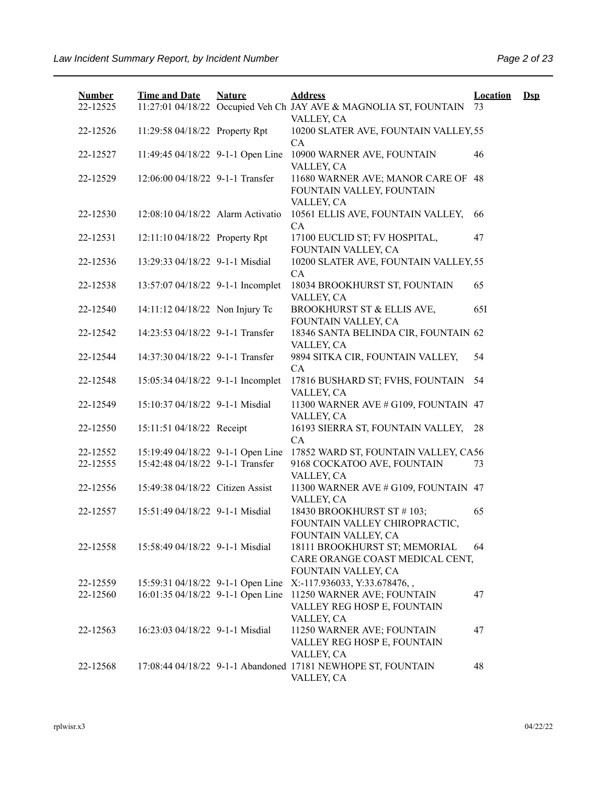| <b>Number</b> | <b>Time and Date</b>              | <b>Nature</b> | <b>Address</b>                                                                          | <b>Location</b> | $\mathbf{Dsp}$ |
|---------------|-----------------------------------|---------------|-----------------------------------------------------------------------------------------|-----------------|----------------|
| 22-12525      |                                   |               | 11:27:01 04/18/22 Occupied Veh Ch JAY AVE & MAGNOLIA ST, FOUNTAIN<br>VALLEY, CA         | 73              |                |
| 22-12526      | 11:29:58 04/18/22 Property Rpt    |               | 10200 SLATER AVE, FOUNTAIN VALLEY, 55<br>CA                                             |                 |                |
| 22-12527      | 11:49:45 04/18/22 9-1-1 Open Line |               | 10900 WARNER AVE, FOUNTAIN<br>VALLEY, CA                                                | 46              |                |
| 22-12529      | 12:06:00 04/18/22 9-1-1 Transfer  |               | 11680 WARNER AVE; MANOR CARE OF<br>FOUNTAIN VALLEY, FOUNTAIN<br>VALLEY, CA              | 48              |                |
| 22-12530      | 12:08:10 04/18/22 Alarm Activatio |               | 10561 ELLIS AVE, FOUNTAIN VALLEY,<br>CA                                                 | 66              |                |
| 22-12531      | 12:11:10 04/18/22 Property Rpt    |               | 17100 EUCLID ST; FV HOSPITAL,<br>FOUNTAIN VALLEY, CA                                    | 47              |                |
| 22-12536      | 13:29:33 04/18/22 9-1-1 Misdial   |               | 10200 SLATER AVE, FOUNTAIN VALLEY, 55<br>CA                                             |                 |                |
| 22-12538      | 13:57:07 04/18/22 9-1-1 Incomplet |               | 18034 BROOKHURST ST, FOUNTAIN<br>VALLEY, CA                                             | 65              |                |
| 22-12540      | 14:11:12 04/18/22 Non Injury Tc   |               | BROOKHURST ST & ELLIS AVE,<br>FOUNTAIN VALLEY, CA                                       | 651             |                |
| 22-12542      | 14:23:53 04/18/22 9-1-1 Transfer  |               | 18346 SANTA BELINDA CIR, FOUNTAIN 62<br>VALLEY, CA                                      |                 |                |
| 22-12544      | 14:37:30 04/18/22 9-1-1 Transfer  |               | 9894 SITKA CIR, FOUNTAIN VALLEY,<br>CA                                                  | 54              |                |
| 22-12548      | 15:05:34 04/18/22 9-1-1 Incomplet |               | 17816 BUSHARD ST; FVHS, FOUNTAIN<br>VALLEY, CA                                          | 54              |                |
| 22-12549      | 15:10:37 04/18/22 9-1-1 Misdial   |               | 11300 WARNER AVE # G109, FOUNTAIN 47<br>VALLEY, CA                                      |                 |                |
| 22-12550      | 15:11:51 04/18/22 Receipt         |               | 16193 SIERRA ST, FOUNTAIN VALLEY,<br>CA                                                 | 28              |                |
| 22-12552      | 15:19:49 04/18/22 9-1-1 Open Line |               | 17852 WARD ST, FOUNTAIN VALLEY, CA56                                                    |                 |                |
| 22-12555      | 15:42:48 04/18/22 9-1-1 Transfer  |               | 9168 COCKATOO AVE, FOUNTAIN<br>VALLEY, CA                                               | 73              |                |
| 22-12556      | 15:49:38 04/18/22 Citizen Assist  |               | 11300 WARNER AVE # G109, FOUNTAIN 47<br>VALLEY, CA                                      |                 |                |
| 22-12557      | 15:51:49 04/18/22 9-1-1 Misdial   |               | 18430 BROOKHURST ST #103;<br>FOUNTAIN VALLEY CHIROPRACTIC,<br>FOUNTAIN VALLEY, CA       | 65              |                |
| 22-12558      | 15:58:49 04/18/22 9-1-1 Misdial   |               | 18111 BROOKHURST ST; MEMORIAL<br>CARE ORANGE COAST MEDICAL CENT,<br>FOUNTAIN VALLEY, CA | 64              |                |
| 22-12559      | 15:59:31 04/18/22 9-1-1 Open Line |               | X:-117.936033, Y:33.678476,,                                                            |                 |                |
| 22-12560      | 16:01:35 04/18/22 9-1-1 Open Line |               | 11250 WARNER AVE; FOUNTAIN<br>VALLEY REG HOSP E, FOUNTAIN<br>VALLEY, CA                 | 47              |                |
| 22-12563      | 16:23:03 04/18/22 9-1-1 Misdial   |               | 11250 WARNER AVE; FOUNTAIN<br>VALLEY REG HOSP E, FOUNTAIN<br>VALLEY, CA                 | 47              |                |
| 22-12568      |                                   |               | 17:08:44 04/18/22 9-1-1 Abandoned 17181 NEWHOPE ST, FOUNTAIN<br>VALLEY, CA              | 48              |                |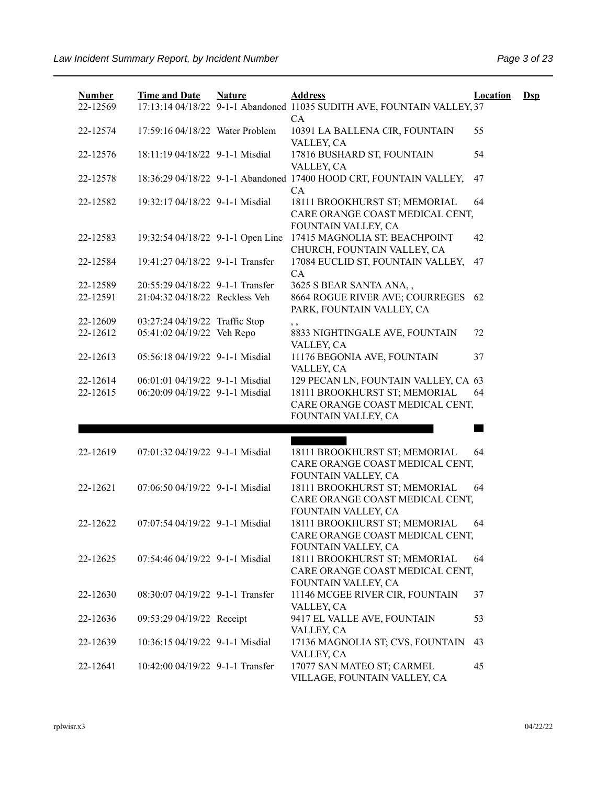| <b>Number</b> | <b>Time and Date</b>              | <b>Nature</b> | <b>Address</b>                                                                          | <b>Location</b> | Dsp |
|---------------|-----------------------------------|---------------|-----------------------------------------------------------------------------------------|-----------------|-----|
| 22-12569      |                                   |               | 17:13:14 04/18/22 9-1-1 Abandoned 11035 SUDITH AVE, FOUNTAIN VALLEY, 37<br>CA           |                 |     |
| 22-12574      | 17:59:16 04/18/22 Water Problem   |               | 10391 LA BALLENA CIR, FOUNTAIN<br>VALLEY, CA                                            | 55              |     |
| 22-12576      | 18:11:19 04/18/22 9-1-1 Misdial   |               | 17816 BUSHARD ST, FOUNTAIN<br>VALLEY, CA                                                | 54              |     |
| 22-12578      |                                   |               | 18:36:29 04/18/22 9-1-1 Abandoned 17400 HOOD CRT, FOUNTAIN VALLEY,<br>CA                | 47              |     |
| 22-12582      | 19:32:17 04/18/22 9-1-1 Misdial   |               | 18111 BROOKHURST ST; MEMORIAL<br>CARE ORANGE COAST MEDICAL CENT,<br>FOUNTAIN VALLEY, CA | 64              |     |
| 22-12583      | 19:32:54 04/18/22 9-1-1 Open Line |               | 17415 MAGNOLIA ST; BEACHPOINT<br>CHURCH, FOUNTAIN VALLEY, CA                            | 42              |     |
| 22-12584      | 19:41:27 04/18/22 9-1-1 Transfer  |               | 17084 EUCLID ST, FOUNTAIN VALLEY,<br>CA                                                 | 47              |     |
| 22-12589      | 20:55:29 04/18/22 9-1-1 Transfer  |               | 3625 S BEAR SANTA ANA,,                                                                 |                 |     |
| 22-12591      | 21:04:32 04/18/22 Reckless Veh    |               | 8664 ROGUE RIVER AVE; COURREGES<br>PARK, FOUNTAIN VALLEY, CA                            | 62              |     |
| 22-12609      | 03:27:24 04/19/22 Traffic Stop    |               | $, \, , \,$                                                                             |                 |     |
| 22-12612      | 05:41:02 04/19/22 Veh Repo        |               | 8833 NIGHTINGALE AVE, FOUNTAIN<br>VALLEY, CA                                            | 72              |     |
| 22-12613      | 05:56:18 04/19/22 9-1-1 Misdial   |               | 11176 BEGONIA AVE, FOUNTAIN<br>VALLEY, CA                                               | 37              |     |
| 22-12614      | 06:01:01 04/19/22 9-1-1 Misdial   |               | 129 PECAN LN, FOUNTAIN VALLEY, CA 63                                                    |                 |     |
| 22-12615      | 06:20:09 04/19/22 9-1-1 Misdial   |               | 18111 BROOKHURST ST; MEMORIAL<br>CARE ORANGE COAST MEDICAL CENT,<br>FOUNTAIN VALLEY, CA | 64              |     |
|               |                                   |               |                                                                                         |                 |     |
| 22-12619      | 07:01:32 04/19/22 9-1-1 Misdial   |               | 18111 BROOKHURST ST; MEMORIAL<br>CARE ORANGE COAST MEDICAL CENT,                        | 64              |     |
|               |                                   |               | FOUNTAIN VALLEY, CA                                                                     |                 |     |
| 22-12621      | 07:06:50 04/19/22 9-1-1 Misdial   |               | 18111 BROOKHURST ST; MEMORIAL<br>CARE ORANGE COAST MEDICAL CENT,<br>FOUNTAIN VALLEY, CA | 64              |     |
| 22-12622      | 07:07:54 04/19/22 9-1-1 Misdial   |               | 18111 BROOKHURST ST; MEMORIAL<br>CARE ORANGE COAST MEDICAL CENT,<br>FOUNTAIN VALLEY, CA | 64              |     |
| 22-12625      | 07:54:46 04/19/22 9-1-1 Misdial   |               | 18111 BROOKHURST ST; MEMORIAL<br>CARE ORANGE COAST MEDICAL CENT,                        | 64              |     |
| 22-12630      | 08:30:07 04/19/22 9-1-1 Transfer  |               | FOUNTAIN VALLEY, CA<br>11146 MCGEE RIVER CIR, FOUNTAIN<br>VALLEY, CA                    | 37              |     |
| 22-12636      | 09:53:29 04/19/22 Receipt         |               | 9417 EL VALLE AVE, FOUNTAIN<br>VALLEY, CA                                               | 53              |     |
| 22-12639      | 10:36:15 04/19/22 9-1-1 Misdial   |               | 17136 MAGNOLIA ST; CVS, FOUNTAIN<br>VALLEY, CA                                          | 43              |     |
| 22-12641      | 10:42:00 04/19/22 9-1-1 Transfer  |               | 17077 SAN MATEO ST; CARMEL<br>VILLAGE, FOUNTAIN VALLEY, CA                              | 45              |     |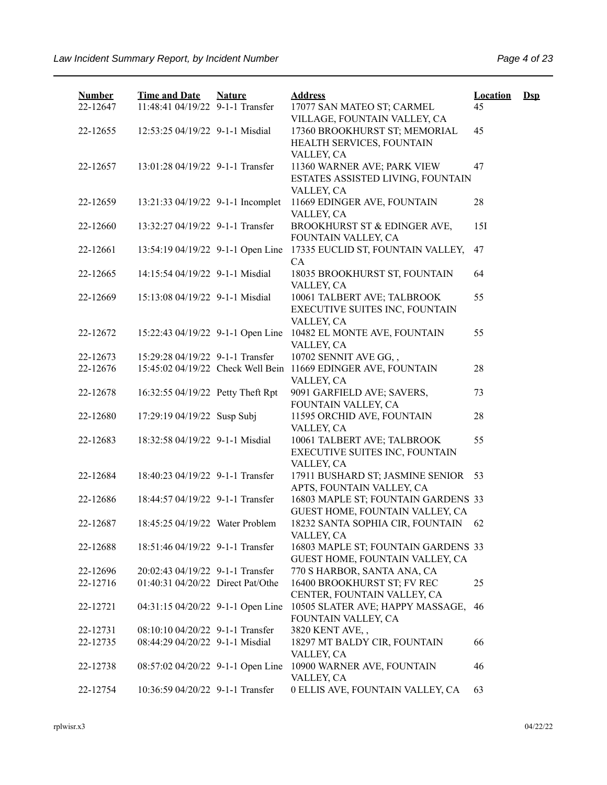| <b>Number</b><br>22-12647 | <b>Time and Date</b><br>11:48:41 04/19/22 9-1-1 Transfer | <b>Nature</b> | <b>Address</b><br>17077 SAN MATEO ST; CARMEL                                | <b>Location</b><br>45 | $\mathbf{Dsp}$ |
|---------------------------|----------------------------------------------------------|---------------|-----------------------------------------------------------------------------|-----------------------|----------------|
| 22-12655                  | 12:53:25 04/19/22 9-1-1 Misdial                          |               | VILLAGE, FOUNTAIN VALLEY, CA<br>17360 BROOKHURST ST; MEMORIAL               | 45                    |                |
|                           |                                                          |               | HEALTH SERVICES, FOUNTAIN<br>VALLEY, CA                                     |                       |                |
| 22-12657                  | 13:01:28 04/19/22 9-1-1 Transfer                         |               | 11360 WARNER AVE; PARK VIEW<br>ESTATES ASSISTED LIVING, FOUNTAIN            | 47                    |                |
| 22-12659                  | 13:21:33 04/19/22 9-1-1 Incomplet                        |               | VALLEY, CA<br>11669 EDINGER AVE, FOUNTAIN                                   | 28                    |                |
| 22-12660                  | 13:32:27 04/19/22 9-1-1 Transfer                         |               | VALLEY, CA<br>BROOKHURST ST & EDINGER AVE,                                  | 15I                   |                |
|                           |                                                          |               | FOUNTAIN VALLEY, CA                                                         |                       |                |
| 22-12661                  | 13:54:19 04/19/22 9-1-1 Open Line                        |               | 17335 EUCLID ST, FOUNTAIN VALLEY,<br>CA                                     | 47                    |                |
| 22-12665                  | 14:15:54 04/19/22 9-1-1 Misdial                          |               | 18035 BROOKHURST ST, FOUNTAIN<br>VALLEY, CA                                 | 64                    |                |
| 22-12669                  | 15:13:08 04/19/22 9-1-1 Misdial                          |               | 10061 TALBERT AVE; TALBROOK<br>EXECUTIVE SUITES INC, FOUNTAIN<br>VALLEY, CA | 55                    |                |
| 22-12672                  | 15:22:43 04/19/22 9-1-1 Open Line                        |               | 10482 EL MONTE AVE, FOUNTAIN<br>VALLEY, CA                                  | 55                    |                |
| 22-12673                  | 15:29:28 04/19/22 9-1-1 Transfer                         |               | 10702 SENNIT AVE GG,,                                                       |                       |                |
| 22-12676                  | 15:45:02 04/19/22 Check Well Bein                        |               | 11669 EDINGER AVE, FOUNTAIN<br>VALLEY, CA                                   | 28                    |                |
| 22-12678                  | 16:32:55 04/19/22 Petty Theft Rpt                        |               | 9091 GARFIELD AVE; SAVERS,<br>FOUNTAIN VALLEY, CA                           | 73                    |                |
| 22-12680                  | 17:29:19 04/19/22 Susp Subj                              |               | 11595 ORCHID AVE, FOUNTAIN<br>VALLEY, CA                                    | 28                    |                |
| 22-12683                  | 18:32:58 04/19/22 9-1-1 Misdial                          |               | 10061 TALBERT AVE; TALBROOK<br>EXECUTIVE SUITES INC, FOUNTAIN<br>VALLEY, CA | 55                    |                |
| 22-12684                  | 18:40:23 04/19/22 9-1-1 Transfer                         |               | 17911 BUSHARD ST; JASMINE SENIOR<br>APTS, FOUNTAIN VALLEY, CA               | 53                    |                |
| 22-12686                  | 18:44:57 04/19/22 9-1-1 Transfer                         |               | 16803 MAPLE ST; FOUNTAIN GARDENS 33<br>GUEST HOME, FOUNTAIN VALLEY, CA      |                       |                |
| 22-12687                  | 18:45:25 04/19/22 Water Problem                          |               | 18232 SANTA SOPHIA CIR, FOUNTAIN<br>VALLEY, CA                              | 62                    |                |
| 22-12688                  | 18:51:46 04/19/22 9-1-1 Transfer                         |               | 16803 MAPLE ST; FOUNTAIN GARDENS 33<br>GUEST HOME, FOUNTAIN VALLEY, CA      |                       |                |
| 22-12696                  | 20:02:43 04/19/22 9-1-1 Transfer                         |               | 770 S HARBOR, SANTA ANA, CA                                                 |                       |                |
| 22-12716                  | 01:40:31 04/20/22 Direct Pat/Othe                        |               | 16400 BROOKHURST ST; FV REC<br>CENTER, FOUNTAIN VALLEY, CA                  | 25                    |                |
| 22-12721                  | 04:31:15 04/20/22 9-1-1 Open Line                        |               | 10505 SLATER AVE; HAPPY MASSAGE,<br>FOUNTAIN VALLEY, CA                     | 46                    |                |
| 22-12731                  | 08:10:10 04/20/22 9-1-1 Transfer                         |               | 3820 KENT AVE,,                                                             |                       |                |
| 22-12735                  | 08:44:29 04/20/22 9-1-1 Misdial                          |               | 18297 MT BALDY CIR, FOUNTAIN<br>VALLEY, CA                                  | 66                    |                |
| 22-12738                  | 08:57:02 04/20/22 9-1-1 Open Line                        |               | 10900 WARNER AVE, FOUNTAIN<br>VALLEY, CA                                    | 46                    |                |
| 22-12754                  | 10:36:59 04/20/22 9-1-1 Transfer                         |               | 0 ELLIS AVE, FOUNTAIN VALLEY, CA                                            | 63                    |                |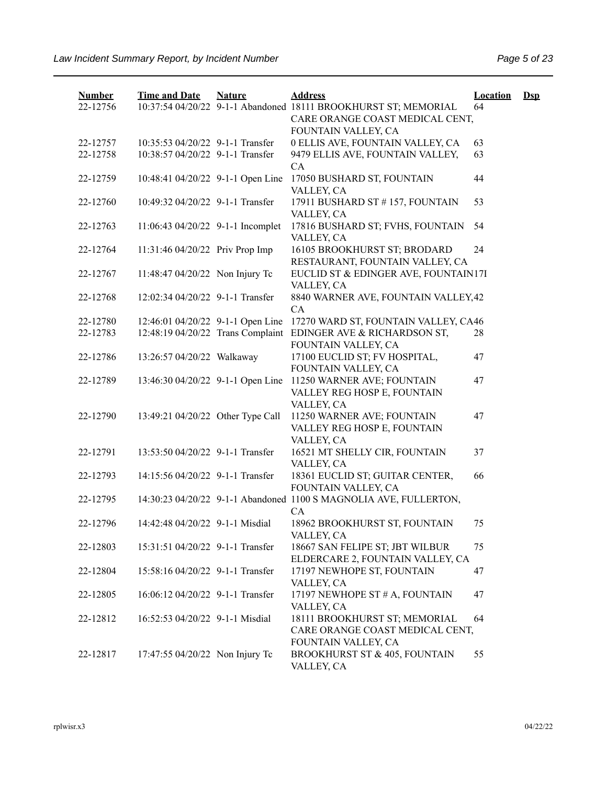| <b>Number</b> | <b>Time and Date</b>              | <b>Nature</b> | <b>Address</b>                                                    | <b>Location</b> | $\mathbf{Dsp}$ |
|---------------|-----------------------------------|---------------|-------------------------------------------------------------------|-----------------|----------------|
| 22-12756      |                                   |               | 10:37:54 04/20/22 9-1-1 Abandoned 18111 BROOKHURST ST; MEMORIAL   | 64              |                |
|               |                                   |               | CARE ORANGE COAST MEDICAL CENT,<br>FOUNTAIN VALLEY, CA            |                 |                |
| 22-12757      | 10:35:53 04/20/22 9-1-1 Transfer  |               | 0 ELLIS AVE, FOUNTAIN VALLEY, CA                                  | 63              |                |
| 22-12758      | 10:38:57 04/20/22 9-1-1 Transfer  |               | 9479 ELLIS AVE, FOUNTAIN VALLEY,                                  | 63              |                |
|               |                                   |               | CA                                                                |                 |                |
| 22-12759      | 10:48:41 04/20/22 9-1-1 Open Line |               | 17050 BUSHARD ST, FOUNTAIN                                        | 44              |                |
|               |                                   |               | VALLEY, CA                                                        |                 |                |
| 22-12760      | 10:49:32 04/20/22 9-1-1 Transfer  |               | 17911 BUSHARD ST #157, FOUNTAIN                                   | 53              |                |
|               |                                   |               | VALLEY, CA                                                        |                 |                |
| 22-12763      | 11:06:43 04/20/22 9-1-1 Incomplet |               | 17816 BUSHARD ST; FVHS, FOUNTAIN                                  | 54              |                |
|               |                                   |               | VALLEY, CA                                                        |                 |                |
| 22-12764      | 11:31:46 04/20/22 Priv Prop Imp   |               | 16105 BROOKHURST ST; BRODARD                                      | 24              |                |
|               |                                   |               | RESTAURANT, FOUNTAIN VALLEY, CA                                   |                 |                |
| 22-12767      | 11:48:47 04/20/22 Non Injury Tc   |               | EUCLID ST & EDINGER AVE, FOUNTAIN17I                              |                 |                |
| 22-12768      | 12:02:34 04/20/22 9-1-1 Transfer  |               | VALLEY, CA<br>8840 WARNER AVE, FOUNTAIN VALLEY, 42                |                 |                |
|               |                                   |               | CA                                                                |                 |                |
| 22-12780      | 12:46:01 04/20/22 9-1-1 Open Line |               | 17270 WARD ST, FOUNTAIN VALLEY, CA46                              |                 |                |
| 22-12783      | 12:48:19 04/20/22 Trans Complaint |               | EDINGER AVE & RICHARDSON ST,                                      | 28              |                |
|               |                                   |               | FOUNTAIN VALLEY, CA                                               |                 |                |
| 22-12786      | 13:26:57 04/20/22 Walkaway        |               | 17100 EUCLID ST; FV HOSPITAL,                                     | 47              |                |
|               |                                   |               | FOUNTAIN VALLEY, CA                                               |                 |                |
| 22-12789      | 13:46:30 04/20/22 9-1-1 Open Line |               | 11250 WARNER AVE; FOUNTAIN                                        | 47              |                |
|               |                                   |               | VALLEY REG HOSP E, FOUNTAIN                                       |                 |                |
|               |                                   |               | VALLEY, CA                                                        |                 |                |
| 22-12790      | 13:49:21 04/20/22 Other Type Call |               | 11250 WARNER AVE; FOUNTAIN                                        | 47              |                |
|               |                                   |               | VALLEY REG HOSP E, FOUNTAIN                                       |                 |                |
|               |                                   |               | VALLEY, CA                                                        |                 |                |
| 22-12791      | 13:53:50 04/20/22 9-1-1 Transfer  |               | 16521 MT SHELLY CIR, FOUNTAIN                                     | 37              |                |
| 22-12793      | 14:15:56 04/20/22 9-1-1 Transfer  |               | VALLEY, CA<br>18361 EUCLID ST; GUITAR CENTER,                     | 66              |                |
|               |                                   |               | FOUNTAIN VALLEY, CA                                               |                 |                |
| 22-12795      |                                   |               | 14:30:23 04/20/22 9-1-1 Abandoned 1100 S MAGNOLIA AVE, FULLERTON, |                 |                |
|               |                                   |               | CA                                                                |                 |                |
| 22-12796      | 14:42:48 04/20/22 9-1-1 Misdial   |               | 18962 BROOKHURST ST, FOUNTAIN                                     | 75              |                |
|               |                                   |               | VALLEY, CA                                                        |                 |                |
| 22-12803      | 15:31:51 04/20/22 9-1-1 Transfer  |               | 18667 SAN FELIPE ST; JBT WILBUR                                   | 75              |                |
|               |                                   |               | ELDERCARE 2, FOUNTAIN VALLEY, CA                                  |                 |                |
| 22-12804      | 15:58:16 04/20/22 9-1-1 Transfer  |               | 17197 NEWHOPE ST, FOUNTAIN                                        | 47              |                |
|               |                                   |               | VALLEY, CA                                                        |                 |                |
| 22-12805      | 16:06:12 04/20/22 9-1-1 Transfer  |               | 17197 NEWHOPE ST # A, FOUNTAIN                                    | 47              |                |
|               |                                   |               | VALLEY, CA                                                        |                 |                |
| 22-12812      | 16:52:53 04/20/22 9-1-1 Misdial   |               | 18111 BROOKHURST ST; MEMORIAL                                     | 64              |                |
|               |                                   |               | CARE ORANGE COAST MEDICAL CENT,                                   |                 |                |
| 22-12817      | 17:47:55 04/20/22 Non Injury Tc   |               | FOUNTAIN VALLEY, CA<br><b>BROOKHURST ST &amp; 405, FOUNTAIN</b>   | 55              |                |
|               |                                   |               | VALLEY, CA                                                        |                 |                |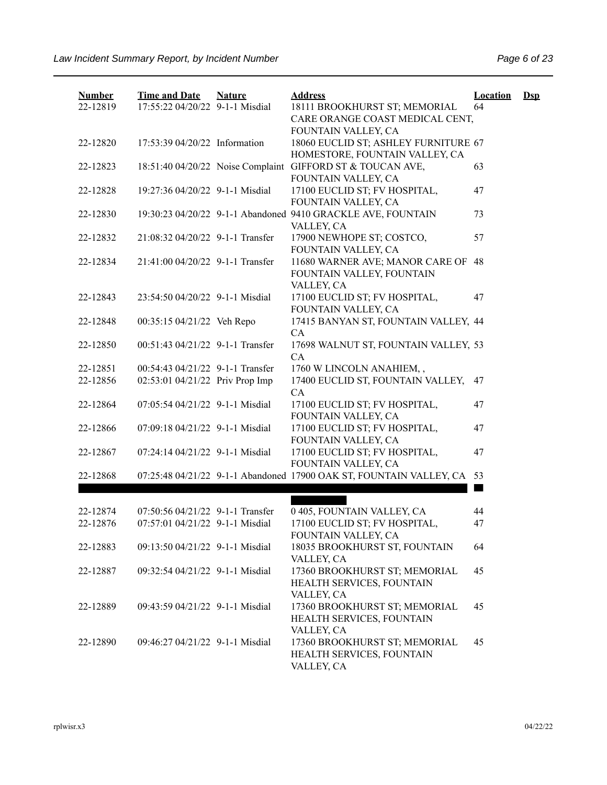| <b>Number</b> | <b>Time and Date</b>             | <b>Nature</b> | <b>Address</b>                                                      | <b>Location</b> | $\mathbf{Dsp}$ |
|---------------|----------------------------------|---------------|---------------------------------------------------------------------|-----------------|----------------|
| 22-12819      | 17:55:22 04/20/22 9-1-1 Misdial  |               | 18111 BROOKHURST ST; MEMORIAL                                       | 64              |                |
|               |                                  |               | CARE ORANGE COAST MEDICAL CENT,                                     |                 |                |
|               |                                  |               | FOUNTAIN VALLEY, CA                                                 |                 |                |
| 22-12820      | 17:53:39 04/20/22 Information    |               | 18060 EUCLID ST; ASHLEY FURNITURE 67                                |                 |                |
|               |                                  |               | HOMESTORE, FOUNTAIN VALLEY, CA                                      |                 |                |
| 22-12823      |                                  |               | 18:51:40 04/20/22 Noise Complaint GIFFORD ST & TOUCAN AVE,          | 63              |                |
|               | 19:27:36 04/20/22 9-1-1 Misdial  |               | FOUNTAIN VALLEY, CA                                                 |                 |                |
| 22-12828      |                                  |               | 17100 EUCLID ST; FV HOSPITAL,<br>FOUNTAIN VALLEY, CA                | 47              |                |
| 22-12830      |                                  |               | 19:30:23 04/20/22 9-1-1 Abandoned 9410 GRACKLE AVE, FOUNTAIN        | 73              |                |
|               |                                  |               | VALLEY, CA                                                          |                 |                |
| 22-12832      | 21:08:32 04/20/22 9-1-1 Transfer |               | 17900 NEWHOPE ST; COSTCO,                                           | 57              |                |
|               |                                  |               | FOUNTAIN VALLEY, CA                                                 |                 |                |
| 22-12834      | 21:41:00 04/20/22 9-1-1 Transfer |               | 11680 WARNER AVE; MANOR CARE OF                                     | 48              |                |
|               |                                  |               | FOUNTAIN VALLEY, FOUNTAIN                                           |                 |                |
|               |                                  |               | VALLEY, CA                                                          |                 |                |
| 22-12843      | 23:54:50 04/20/22 9-1-1 Misdial  |               | 17100 EUCLID ST; FV HOSPITAL,                                       | 47              |                |
|               |                                  |               | FOUNTAIN VALLEY, CA                                                 |                 |                |
| 22-12848      | 00:35:15 04/21/22 Veh Repo       |               | 17415 BANYAN ST, FOUNTAIN VALLEY, 44                                |                 |                |
|               |                                  |               | CA                                                                  |                 |                |
| 22-12850      | 00:51:43 04/21/22 9-1-1 Transfer |               | 17698 WALNUT ST, FOUNTAIN VALLEY, 53                                |                 |                |
|               |                                  |               | CA                                                                  |                 |                |
| 22-12851      | 00:54:43 04/21/22 9-1-1 Transfer |               | 1760 W LINCOLN ANAHIEM,,                                            |                 |                |
| 22-12856      | 02:53:01 04/21/22 Priv Prop Imp  |               | 17400 EUCLID ST, FOUNTAIN VALLEY,<br>CA                             | 47              |                |
| 22-12864      | 07:05:54 04/21/22 9-1-1 Misdial  |               | 17100 EUCLID ST; FV HOSPITAL,                                       | 47              |                |
|               |                                  |               | FOUNTAIN VALLEY, CA                                                 |                 |                |
| 22-12866      | 07:09:18 04/21/22 9-1-1 Misdial  |               | 17100 EUCLID ST; FV HOSPITAL,                                       | 47              |                |
|               |                                  |               | FOUNTAIN VALLEY, CA                                                 |                 |                |
| 22-12867      | 07:24:14 04/21/22 9-1-1 Misdial  |               | 17100 EUCLID ST; FV HOSPITAL,                                       | 47              |                |
|               |                                  |               | FOUNTAIN VALLEY, CA                                                 |                 |                |
| 22-12868      |                                  |               | 07:25:48 04/21/22 9-1-1 Abandoned 17900 OAK ST, FOUNTAIN VALLEY, CA | 53              |                |
|               |                                  |               |                                                                     |                 |                |
|               |                                  |               |                                                                     |                 |                |
| 22-12874      | 07:50:56 04/21/22 9-1-1 Transfer |               | 0 405, FOUNTAIN VALLEY, CA                                          | 44              |                |
| 22-12876      | 07:57:01 04/21/22 9-1-1 Misdial  |               | 17100 EUCLID ST; FV HOSPITAL,                                       | 47              |                |
|               |                                  |               | FOUNTAIN VALLEY, CA<br>18035 BROOKHURST ST, FOUNTAIN                |                 |                |
| 22-12883      | 09:13:50 04/21/22 9-1-1 Misdial  |               | VALLEY, CA                                                          | 64              |                |
| 22-12887      | 09:32:54 04/21/22 9-1-1 Misdial  |               | 17360 BROOKHURST ST; MEMORIAL                                       | 45              |                |
|               |                                  |               | HEALTH SERVICES, FOUNTAIN                                           |                 |                |
|               |                                  |               | VALLEY, CA                                                          |                 |                |
| 22-12889      | 09:43:59 04/21/22 9-1-1 Misdial  |               | 17360 BROOKHURST ST; MEMORIAL                                       | 45              |                |
|               |                                  |               | HEALTH SERVICES, FOUNTAIN                                           |                 |                |
|               |                                  |               | VALLEY, CA                                                          |                 |                |
| 22-12890      | 09:46:27 04/21/22 9-1-1 Misdial  |               | 17360 BROOKHURST ST; MEMORIAL                                       | 45              |                |
|               |                                  |               | HEALTH SERVICES, FOUNTAIN                                           |                 |                |
|               |                                  |               | VALLEY, CA                                                          |                 |                |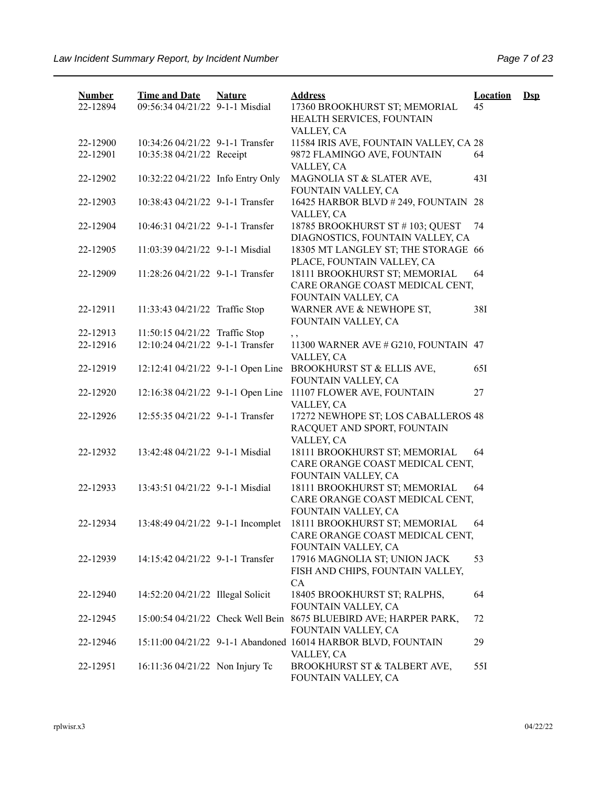| <b>Number</b> | <b>Time and Date</b>              | <b>Nature</b> | <b>Address</b>                                                                           | <b>Location</b> | $\mathbf{Dsp}$ |
|---------------|-----------------------------------|---------------|------------------------------------------------------------------------------------------|-----------------|----------------|
| 22-12894      | 09:56:34 04/21/22 9-1-1 Misdial   |               | 17360 BROOKHURST ST; MEMORIAL<br>HEALTH SERVICES, FOUNTAIN<br>VALLEY, CA                 | 45              |                |
| 22-12900      | 10:34:26 04/21/22 9-1-1 Transfer  |               | 11584 IRIS AVE, FOUNTAIN VALLEY, CA 28                                                   |                 |                |
| 22-12901      | 10:35:38 04/21/22 Receipt         |               | 9872 FLAMINGO AVE, FOUNTAIN<br>VALLEY, CA                                                | 64              |                |
| 22-12902      | 10:32:22 04/21/22 Info Entry Only |               | MAGNOLIA ST & SLATER AVE,<br>FOUNTAIN VALLEY, CA                                         | 43I             |                |
| 22-12903      | 10:38:43 04/21/22 9-1-1 Transfer  |               | 16425 HARBOR BLVD #249, FOUNTAIN 28<br>VALLEY, CA                                        |                 |                |
| 22-12904      | 10:46:31 04/21/22 9-1-1 Transfer  |               | 18785 BROOKHURST ST #103; QUEST<br>DIAGNOSTICS, FOUNTAIN VALLEY, CA                      | 74              |                |
| 22-12905      | 11:03:39 04/21/22 9-1-1 Misdial   |               | 18305 MT LANGLEY ST; THE STORAGE 66<br>PLACE, FOUNTAIN VALLEY, CA                        |                 |                |
| 22-12909      | 11:28:26 04/21/22 9-1-1 Transfer  |               | 18111 BROOKHURST ST; MEMORIAL<br>CARE ORANGE COAST MEDICAL CENT,                         | 64              |                |
| 22-12911      | 11:33:43 04/21/22 Traffic Stop    |               | FOUNTAIN VALLEY, CA<br>WARNER AVE & NEWHOPE ST,<br>FOUNTAIN VALLEY, CA                   | 38I             |                |
| 22-12913      | 11:50:15 04/21/22 Traffic Stop    |               | , ,                                                                                      |                 |                |
| 22-12916      | 12:10:24 04/21/22 9-1-1 Transfer  |               | 11300 WARNER AVE # G210, FOUNTAIN 47<br>VALLEY, CA                                       |                 |                |
| 22-12919      | 12:12:41 04/21/22 9-1-1 Open Line |               | BROOKHURST ST & ELLIS AVE,<br>FOUNTAIN VALLEY, CA                                        | 651             |                |
| 22-12920      | 12:16:38 04/21/22 9-1-1 Open Line |               | 11107 FLOWER AVE, FOUNTAIN<br>VALLEY, CA                                                 | 27              |                |
| 22-12926      | 12:55:35 04/21/22 9-1-1 Transfer  |               | 17272 NEWHOPE ST; LOS CABALLEROS 48<br>RACQUET AND SPORT, FOUNTAIN<br>VALLEY, CA         |                 |                |
| 22-12932      | 13:42:48 04/21/22 9-1-1 Misdial   |               | 18111 BROOKHURST ST; MEMORIAL<br>CARE ORANGE COAST MEDICAL CENT,<br>FOUNTAIN VALLEY, CA  | 64              |                |
| 22-12933      | 13:43:51 04/21/22 9-1-1 Misdial   |               | 18111 BROOKHURST ST; MEMORIAL<br>CARE ORANGE COAST MEDICAL CENT,<br>FOUNTAIN VALLEY, CA  | 64              |                |
| 22-12934      | 13:48:49 04/21/22 9-1-1 Incomplet |               | 18111 BROOKHURST ST; MEMORIAL<br>CARE ORANGE COAST MEDICAL CENT,<br>FOUNTAIN VALLEY, CA  | 64              |                |
| 22-12939      | 14:15:42 04/21/22 9-1-1 Transfer  |               | 17916 MAGNOLIA ST; UNION JACK<br>FISH AND CHIPS, FOUNTAIN VALLEY,<br>CA                  | 53              |                |
| 22-12940      | 14:52:20 04/21/22 Illegal Solicit |               | 18405 BROOKHURST ST; RALPHS,<br>FOUNTAIN VALLEY, CA                                      | 64              |                |
| 22-12945      |                                   |               | 15:00:54 04/21/22 Check Well Bein 8675 BLUEBIRD AVE; HARPER PARK,<br>FOUNTAIN VALLEY, CA | 72              |                |
| 22-12946      |                                   |               | 15:11:00 04/21/22 9-1-1 Abandoned 16014 HARBOR BLVD, FOUNTAIN<br>VALLEY, CA              | 29              |                |
| 22-12951      | 16:11:36 04/21/22 Non Injury Tc   |               | BROOKHURST ST & TALBERT AVE,<br>FOUNTAIN VALLEY, CA                                      | 55I             |                |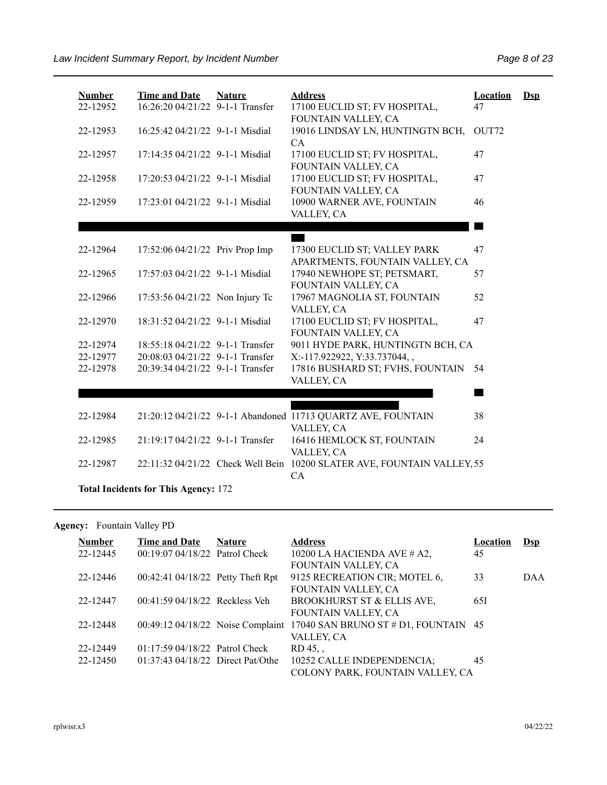| <b>Number</b> | <b>Time and Date</b>                        | <b>Nature</b> | <b>Address</b>                                               | <b>Location</b> | $\mathbf{Dsp}$ |  |  |  |  |
|---------------|---------------------------------------------|---------------|--------------------------------------------------------------|-----------------|----------------|--|--|--|--|
| 22-12952      | 16:26:20 04/21/22 9-1-1 Transfer            |               | 17100 EUCLID ST; FV HOSPITAL,<br>FOUNTAIN VALLEY, CA         | 47              |                |  |  |  |  |
| 22-12953      | 16:25:42 04/21/22 9-1-1 Misdial             |               | 19016 LINDSAY LN, HUNTINGTN BCH,<br>CA                       | OUT72           |                |  |  |  |  |
| 22-12957      | 17:14:35 04/21/22 9-1-1 Misdial             |               | 17100 EUCLID ST; FV HOSPITAL,<br>FOUNTAIN VALLEY, CA         | 47              |                |  |  |  |  |
| 22-12958      | 17:20:53 04/21/22 9-1-1 Misdial             |               | 17100 EUCLID ST; FV HOSPITAL,<br>FOUNTAIN VALLEY, CA         | 47              |                |  |  |  |  |
| 22-12959      | 17:23:01 04/21/22 9-1-1 Misdial             |               | 10900 WARNER AVE, FOUNTAIN<br>VALLEY, CA                     | 46              |                |  |  |  |  |
|               |                                             |               |                                                              |                 |                |  |  |  |  |
|               |                                             |               |                                                              |                 |                |  |  |  |  |
| 22-12964      | 17:52:06 04/21/22 Priv Prop Imp             |               | 17300 EUCLID ST; VALLEY PARK                                 | 47              |                |  |  |  |  |
|               |                                             |               | APARTMENTS, FOUNTAIN VALLEY, CA                              |                 |                |  |  |  |  |
| 22-12965      | 17:57:03 04/21/22 9-1-1 Misdial             |               | 17940 NEWHOPE ST; PETSMART,                                  | 57              |                |  |  |  |  |
|               |                                             |               | FOUNTAIN VALLEY, CA                                          |                 |                |  |  |  |  |
| 22-12966      | 17:53:56 04/21/22 Non Injury Tc             |               | 17967 MAGNOLIA ST, FOUNTAIN                                  | 52              |                |  |  |  |  |
| 22-12970      | 18:31:52 04/21/22 9-1-1 Misdial             |               | VALLEY, CA<br>17100 EUCLID ST; FV HOSPITAL,                  | 47              |                |  |  |  |  |
|               |                                             |               | FOUNTAIN VALLEY, CA                                          |                 |                |  |  |  |  |
| 22-12974      | 18:55:18 04/21/22 9-1-1 Transfer            |               | 9011 HYDE PARK, HUNTINGTN BCH, CA                            |                 |                |  |  |  |  |
| 22-12977      | 20:08:03 04/21/22 9-1-1 Transfer            |               | X:-117.922922, Y:33.737044,,                                 |                 |                |  |  |  |  |
| 22-12978      | 20:39:34 04/21/22 9-1-1 Transfer            |               | 17816 BUSHARD ST; FVHS, FOUNTAIN                             | 54              |                |  |  |  |  |
|               |                                             |               | VALLEY, CA                                                   |                 |                |  |  |  |  |
|               |                                             |               |                                                              |                 |                |  |  |  |  |
|               |                                             |               |                                                              |                 |                |  |  |  |  |
| 22-12984      |                                             |               | 21:20:12 04/21/22 9-1-1 Abandoned 11713 QUARTZ AVE, FOUNTAIN | 38              |                |  |  |  |  |
|               |                                             |               | VALLEY, CA                                                   |                 |                |  |  |  |  |
| 22-12985      | 21:19:17 04/21/22 9-1-1 Transfer            |               | 16416 HEMLOCK ST, FOUNTAIN                                   | 24              |                |  |  |  |  |
|               |                                             |               | VALLEY, CA                                                   |                 |                |  |  |  |  |
| 22-12987      | 22:11:32 04/21/22 Check Well Bein           |               | 10200 SLATER AVE, FOUNTAIN VALLEY, 55<br>CA                  |                 |                |  |  |  |  |
|               | <b>Total Incidents for This Agency: 172</b> |               |                                                              |                 |                |  |  |  |  |

## Agency: Fountain Valley PD

| <b>Number</b> | <b>Time and Date</b>                 | <b>Nature</b> | <b>Address</b>                       | Location | Dsp |
|---------------|--------------------------------------|---------------|--------------------------------------|----------|-----|
| 22-12445      | 00:19:07 04/18/22 Patrol Check       |               | 10200 LA HACIENDA AVE $#$ A2,        | 45       |     |
|               |                                      |               | FOUNTAIN VALLEY, CA                  |          |     |
| 22-12446      | 00:42:41 04/18/22 Petty Theft Rpt    |               | 9125 RECREATION CIR; MOTEL 6,        | 33       | DAA |
|               |                                      |               | FOUNTAIN VALLEY, CA                  |          |     |
| 22-12447      | 00:41:59 04/18/22 Reckless Veh       |               | BROOKHURST ST & ELLIS AVE,           | 65I      |     |
|               |                                      |               | FOUNTAIN VALLEY, CA                  |          |     |
| 22-12448      | 00:49:12 04/18/22 Noise Complaint    |               | 17040 SAN BRUNO ST # D1, FOUNTAIN 45 |          |     |
|               |                                      |               | VALLEY, CA                           |          |     |
| 22-12449      | $01:17:59 04/18/22$ Patrol Check     |               | RD 45, ,                             |          |     |
| 22-12450      | $01:37:43\ 04/18/22$ Direct Pat/Othe |               | 10252 CALLE INDEPENDENCIA;           | 45       |     |
|               |                                      |               | COLONY PARK, FOUNTAIN VALLEY, CA     |          |     |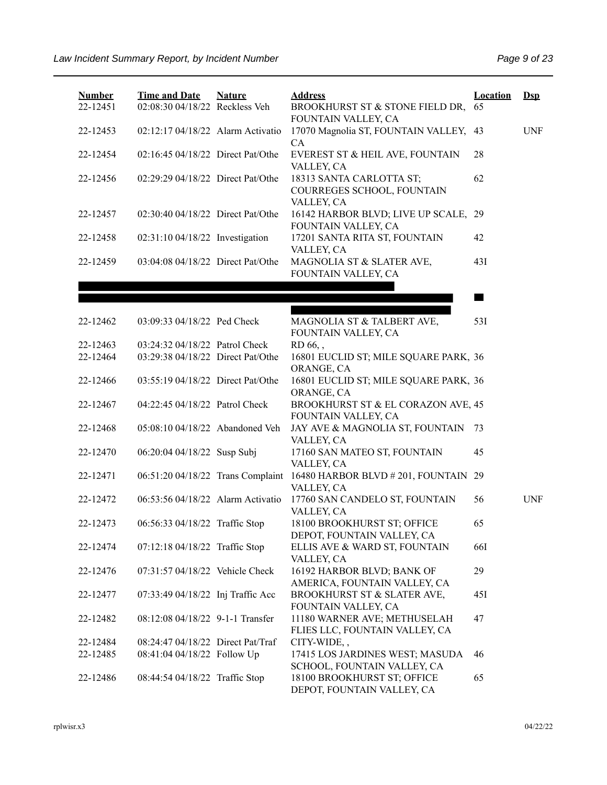| <b>Number</b><br>22-12451 | <b>Time and Date</b><br>02:08:30 04/18/22 Reckless Veh | <b>Nature</b> | <b>Address</b><br>BROOKHURST ST & STONE FIELD DR,                        | <b>Location</b><br>65 | $\mathbf{Dsp}$ |
|---------------------------|--------------------------------------------------------|---------------|--------------------------------------------------------------------------|-----------------------|----------------|
| 22-12453                  | 02:12:17 04/18/22 Alarm Activatio                      |               | FOUNTAIN VALLEY, CA<br>17070 Magnolia ST, FOUNTAIN VALLEY, 43            |                       | <b>UNF</b>     |
| 22-12454                  | 02:16:45 04/18/22 Direct Pat/Othe                      |               | CA<br>EVEREST ST & HEIL AVE, FOUNTAIN                                    | 28                    |                |
| 22-12456                  | 02:29:29 04/18/22 Direct Pat/Othe                      |               | VALLEY, CA<br>18313 SANTA CARLOTTA ST;<br>COURREGES SCHOOL, FOUNTAIN     | 62                    |                |
| 22-12457                  | 02:30:40 04/18/22 Direct Pat/Othe                      |               | VALLEY, CA<br>16142 HARBOR BLVD; LIVE UP SCALE, 29                       |                       |                |
| 22-12458                  | 02:31:10 04/18/22 Investigation                        |               | FOUNTAIN VALLEY, CA<br>17201 SANTA RITA ST, FOUNTAIN<br>VALLEY, CA       | 42                    |                |
| 22-12459                  | 03:04:08 04/18/22 Direct Pat/Othe                      |               | MAGNOLIA ST & SLATER AVE,<br>FOUNTAIN VALLEY, CA                         | 43I                   |                |
|                           |                                                        |               |                                                                          |                       |                |
|                           |                                                        |               |                                                                          | a sa                  |                |
| 22-12462                  | 03:09:33 04/18/22 Ped Check                            |               | MAGNOLIA ST & TALBERT AVE,<br>FOUNTAIN VALLEY, CA                        | 53I                   |                |
| 22-12463                  | 03:24:32 04/18/22 Patrol Check                         |               | RD 66,,                                                                  |                       |                |
| 22-12464                  | 03:29:38 04/18/22 Direct Pat/Othe                      |               | 16801 EUCLID ST; MILE SQUARE PARK, 36                                    |                       |                |
| 22-12466                  | 03:55:19 04/18/22 Direct Pat/Othe                      |               | ORANGE, CA<br>16801 EUCLID ST; MILE SQUARE PARK, 36<br>ORANGE, CA        |                       |                |
| 22-12467                  | 04:22:45 04/18/22 Patrol Check                         |               | BROOKHURST ST & EL CORAZON AVE, 45<br>FOUNTAIN VALLEY, CA                |                       |                |
| 22-12468                  | 05:08:10 04/18/22 Abandoned Veh                        |               | JAY AVE & MAGNOLIA ST, FOUNTAIN<br>VALLEY, CA                            | 73                    |                |
| 22-12470                  | 06:20:04 04/18/22 Susp Subj                            |               | 17160 SAN MATEO ST, FOUNTAIN<br>VALLEY, CA                               | 45                    |                |
| 22-12471                  | 06:51:20 04/18/22 Trans Complaint                      |               | 16480 HARBOR BLVD # 201, FOUNTAIN 29<br>VALLEY, CA                       |                       |                |
| 22-12472                  | 06:53:56 04/18/22 Alarm Activatio                      |               | 17760 SAN CANDELO ST, FOUNTAIN<br>VALLEY, CA                             | 56                    | <b>UNF</b>     |
| 22-12473                  | 06:56:33 04/18/22 Traffic Stop                         |               | 18100 BROOKHURST ST; OFFICE<br>DEPOT, FOUNTAIN VALLEY, CA                | 65                    |                |
| 22-12474                  | 07:12:18 04/18/22 Traffic Stop                         |               | ELLIS AVE & WARD ST, FOUNTAIN                                            | <b>66I</b>            |                |
| 22-12476                  | 07:31:57 04/18/22 Vehicle Check                        |               | VALLEY, CA<br>16192 HARBOR BLVD; BANK OF<br>AMERICA, FOUNTAIN VALLEY, CA | 29                    |                |
| 22-12477                  | 07:33:49 04/18/22 Inj Traffic Acc                      |               | BROOKHURST ST & SLATER AVE,<br>FOUNTAIN VALLEY, CA                       | 45I                   |                |
| 22-12482                  | 08:12:08 04/18/22 9-1-1 Transfer                       |               | 11180 WARNER AVE; METHUSELAH<br>FLIES LLC, FOUNTAIN VALLEY, CA           | 47                    |                |
| 22-12484                  | 08:24:47 04/18/22 Direct Pat/Traf                      |               | CITY-WIDE,,                                                              |                       |                |
| 22-12485                  | 08:41:04 04/18/22 Follow Up                            |               | 17415 LOS JARDINES WEST; MASUDA<br>SCHOOL, FOUNTAIN VALLEY, CA           | 46                    |                |
| 22-12486                  | 08:44:54 04/18/22 Traffic Stop                         |               | 18100 BROOKHURST ST; OFFICE<br>DEPOT, FOUNTAIN VALLEY, CA                | 65                    |                |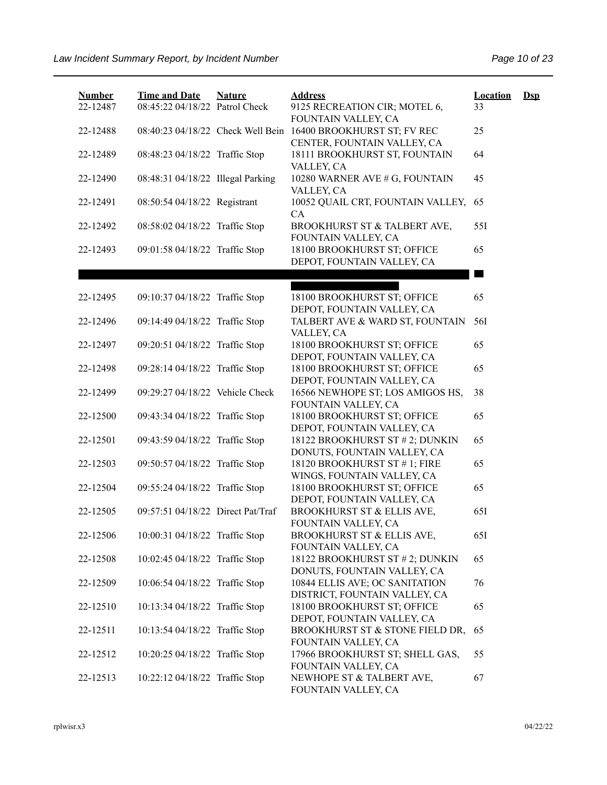| <b>Number</b><br>22-12487 | <b>Time and Date</b><br>08:45:22 04/18/22 Patrol Check | <b>Nature</b> | <b>Address</b><br>9125 RECREATION CIR; MOTEL 6,                                   | <b>Location</b><br>33 | $\mathbf{Dsp}$ |
|---------------------------|--------------------------------------------------------|---------------|-----------------------------------------------------------------------------------|-----------------------|----------------|
| 22-12488                  | 08:40:23 04/18/22 Check Well Bein                      |               | FOUNTAIN VALLEY, CA<br>16400 BROOKHURST ST; FV REC<br>CENTER, FOUNTAIN VALLEY, CA | 25                    |                |
| 22-12489                  | 08:48:23 04/18/22 Traffic Stop                         |               | 18111 BROOKHURST ST, FOUNTAIN<br>VALLEY, CA                                       | 64                    |                |
| 22-12490                  | 08:48:31 04/18/22 Illegal Parking                      |               | 10280 WARNER AVE # G, FOUNTAIN<br>VALLEY, CA                                      | 45                    |                |
| 22-12491                  | 08:50:54 04/18/22 Registrant                           |               | 10052 QUAIL CRT, FOUNTAIN VALLEY,<br>CA                                           | 65                    |                |
| 22-12492                  | 08:58:02 04/18/22 Traffic Stop                         |               | BROOKHURST ST & TALBERT AVE,<br>FOUNTAIN VALLEY, CA                               | 551                   |                |
| 22-12493                  | 09:01:58 04/18/22 Traffic Stop                         |               | 18100 BROOKHURST ST; OFFICE<br>DEPOT, FOUNTAIN VALLEY, CA                         | 65                    |                |
|                           |                                                        |               |                                                                                   |                       |                |
|                           |                                                        |               |                                                                                   |                       |                |
| 22-12495                  | 09:10:37 04/18/22 Traffic Stop                         |               | 18100 BROOKHURST ST; OFFICE<br>DEPOT, FOUNTAIN VALLEY, CA                         | 65                    |                |
| 22-12496                  | 09:14:49 04/18/22 Traffic Stop                         |               | TALBERT AVE & WARD ST, FOUNTAIN<br>VALLEY, CA                                     | 56I                   |                |
| 22-12497                  | 09:20:51 04/18/22 Traffic Stop                         |               | 18100 BROOKHURST ST; OFFICE<br>DEPOT, FOUNTAIN VALLEY, CA                         | 65                    |                |
| 22-12498                  | 09:28:14 04/18/22 Traffic Stop                         |               | 18100 BROOKHURST ST; OFFICE<br>DEPOT, FOUNTAIN VALLEY, CA                         | 65                    |                |
| 22-12499                  | 09:29:27 04/18/22 Vehicle Check                        |               | 16566 NEWHOPE ST; LOS AMIGOS HS,<br>FOUNTAIN VALLEY, CA                           | 38                    |                |
| 22-12500                  | 09:43:34 04/18/22 Traffic Stop                         |               | 18100 BROOKHURST ST; OFFICE                                                       | 65                    |                |
| 22-12501                  | 09:43:59 04/18/22 Traffic Stop                         |               | DEPOT, FOUNTAIN VALLEY, CA<br>18122 BROOKHURST ST # 2; DUNKIN                     | 65                    |                |
| 22-12503                  | 09:50:57 04/18/22 Traffic Stop                         |               | DONUTS, FOUNTAIN VALLEY, CA<br>18120 BROOKHURST ST #1; FIRE                       | 65                    |                |
| 22-12504                  | 09:55:24 04/18/22 Traffic Stop                         |               | WINGS, FOUNTAIN VALLEY, CA<br>18100 BROOKHURST ST; OFFICE                         | 65                    |                |
| 22-12505                  | 09:57:51 04/18/22 Direct Pat/Traf                      |               | DEPOT, FOUNTAIN VALLEY, CA<br>BROOKHURST ST & ELLIS AVE,                          | 65I                   |                |
| 22-12506                  | 10:00:31 04/18/22 Traffic Stop                         |               | FOUNTAIN VALLEY, CA<br>BROOKHURST ST & ELLIS AVE,                                 | 65I                   |                |
| 22-12508                  | 10:02:45 04/18/22 Traffic Stop                         |               | FOUNTAIN VALLEY, CA<br>18122 BROOKHURST ST # 2; DUNKIN                            | 65                    |                |
| 22-12509                  | 10:06:54 04/18/22 Traffic Stop                         |               | DONUTS, FOUNTAIN VALLEY, CA<br>10844 ELLIS AVE; OC SANITATION                     | 76                    |                |
| 22-12510                  | 10:13:34 04/18/22 Traffic Stop                         |               | DISTRICT, FOUNTAIN VALLEY, CA<br>18100 BROOKHURST ST; OFFICE                      | 65                    |                |
| 22-12511                  | 10:13:54 04/18/22 Traffic Stop                         |               | DEPOT, FOUNTAIN VALLEY, CA<br>BROOKHURST ST & STONE FIELD DR,                     | 65                    |                |
| 22-12512                  | 10:20:25 04/18/22 Traffic Stop                         |               | FOUNTAIN VALLEY, CA<br>17966 BROOKHURST ST; SHELL GAS,                            | 55                    |                |
| 22-12513                  | 10:22:12 04/18/22 Traffic Stop                         |               | FOUNTAIN VALLEY, CA<br>NEWHOPE ST & TALBERT AVE,<br>FOUNTAIN VALLEY, CA           | 67                    |                |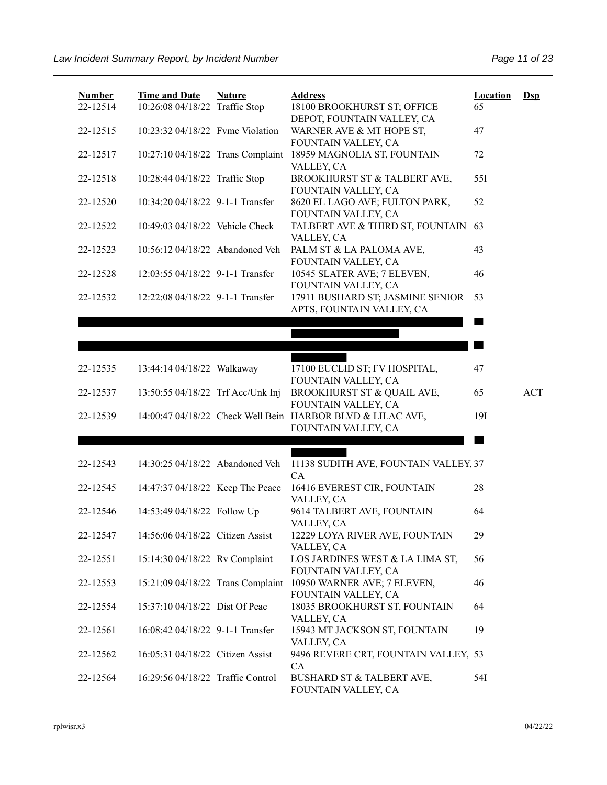| <b>Number</b> | <b>Time and Date</b>              | <b>Nature</b> | <b>Address</b>                                                                                           | <b>Location</b> | $Ds$ |
|---------------|-----------------------------------|---------------|----------------------------------------------------------------------------------------------------------|-----------------|------|
| 22-12514      | 10:26:08 04/18/22 Traffic Stop    |               | 18100 BROOKHURST ST; OFFICE<br>DEPOT, FOUNTAIN VALLEY, CA                                                | 65              |      |
| 22-12515      | 10:23:32 04/18/22 Fvmc Violation  |               | WARNER AVE & MT HOPE ST,<br>FOUNTAIN VALLEY, CA                                                          | 47              |      |
| 22-12517      | 10:27:10 04/18/22 Trans Complaint |               | 18959 MAGNOLIA ST, FOUNTAIN<br>VALLEY, CA                                                                | 72              |      |
| 22-12518      | 10:28:44 04/18/22 Traffic Stop    |               | BROOKHURST ST & TALBERT AVE,<br>FOUNTAIN VALLEY, CA                                                      | 55I             |      |
| 22-12520      | 10:34:20 04/18/22 9-1-1 Transfer  |               | 8620 EL LAGO AVE; FULTON PARK,<br>FOUNTAIN VALLEY, CA                                                    | 52              |      |
| 22-12522      | 10:49:03 04/18/22 Vehicle Check   |               | TALBERT AVE & THIRD ST, FOUNTAIN<br>VALLEY, CA                                                           | 63              |      |
| 22-12523      | 10:56:12 04/18/22 Abandoned Veh   |               | PALM ST & LA PALOMA AVE,<br>FOUNTAIN VALLEY, CA                                                          | 43              |      |
| 22-12528      | 12:03:55 04/18/22 9-1-1 Transfer  |               | 10545 SLATER AVE; 7 ELEVEN,<br>FOUNTAIN VALLEY, CA                                                       | 46              |      |
| 22-12532      | 12:22:08 04/18/22 9-1-1 Transfer  |               | 17911 BUSHARD ST; JASMINE SENIOR<br>APTS, FOUNTAIN VALLEY, CA                                            | 53              |      |
|               |                                   |               |                                                                                                          |                 |      |
|               |                                   |               |                                                                                                          |                 |      |
| 22-12535      | 13:44:14 04/18/22 Walkaway        |               | 17100 EUCLID ST; FV HOSPITAL,                                                                            | 47              |      |
| 22-12537      | 13:50:55 04/18/22 Trf Acc/Unk Inj |               | FOUNTAIN VALLEY, CA<br>BROOKHURST ST & QUAIL AVE,                                                        | 65              | ACT  |
| 22-12539      |                                   |               | FOUNTAIN VALLEY, CA<br>14:00:47 04/18/22 Check Well Bein HARBOR BLVD & LILAC AVE,<br>FOUNTAIN VALLEY, CA | 191             |      |
|               |                                   |               |                                                                                                          |                 |      |
| 22-12543      | 14:30:25 04/18/22 Abandoned Veh   |               | 11138 SUDITH AVE, FOUNTAIN VALLEY, 37                                                                    |                 |      |
| 22-12545      | 14:47:37 04/18/22 Keep The Peace  |               | CA<br>16416 EVEREST CIR, FOUNTAIN<br>VALLEY, CA                                                          | 28              |      |
| 22-12546      | 14:53:49 04/18/22 Follow Up       |               | 9614 TALBERT AVE, FOUNTAIN<br>VALLEY, CA                                                                 | 64              |      |
| 22-12547      | 14:56:06 04/18/22 Citizen Assist  |               | 12229 LOYA RIVER AVE, FOUNTAIN<br>VALLEY, CA                                                             | 29              |      |
| 22-12551      | 15:14:30 04/18/22 Rv Complaint    |               | LOS JARDINES WEST & LA LIMA ST,<br>FOUNTAIN VALLEY, CA                                                   | 56              |      |
| 22-12553      | 15:21:09 04/18/22 Trans Complaint |               | 10950 WARNER AVE; 7 ELEVEN,<br>FOUNTAIN VALLEY, CA                                                       | 46              |      |
| 22-12554      | 15:37:10 04/18/22 Dist Of Peac    |               | 18035 BROOKHURST ST, FOUNTAIN                                                                            | 64              |      |
| 22-12561      | 16:08:42 04/18/22 9-1-1 Transfer  |               | VALLEY, CA<br>15943 MT JACKSON ST, FOUNTAIN<br>VALLEY, CA                                                | 19              |      |
| 22-12562      | 16:05:31 04/18/22 Citizen Assist  |               | 9496 REVERE CRT, FOUNTAIN VALLEY, 53<br>CA                                                               |                 |      |
| 22-12564      | 16:29:56 04/18/22 Traffic Control |               | BUSHARD ST & TALBERT AVE,<br>FOUNTAIN VALLEY, CA                                                         | 54I             |      |

rplwisr.x3 04/22/22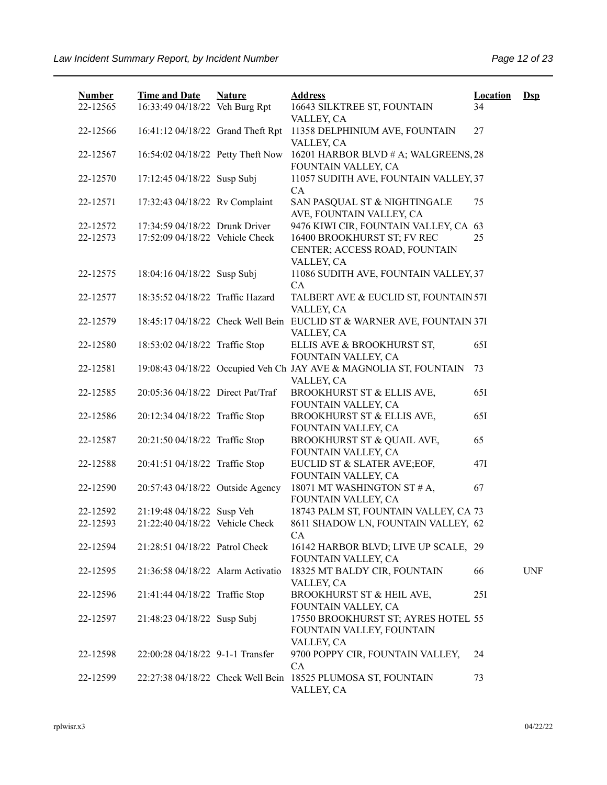| <b>Number</b><br>22-12565 | <b>Time and Date</b><br>16:33:49 04/18/22 Veh Burg Rpt | <b>Nature</b> | <b>Address</b><br>16643 SILKTREE ST, FOUNTAIN                                        | <b>Location</b><br>34 | $\mathbf{Dsp}$ |
|---------------------------|--------------------------------------------------------|---------------|--------------------------------------------------------------------------------------|-----------------------|----------------|
| 22-12566                  | 16:41:12 04/18/22 Grand Theft Rpt                      |               | VALLEY, CA<br>11358 DELPHINIUM AVE, FOUNTAIN                                         | 27                    |                |
| 22-12567                  | 16:54:02 04/18/22 Petty Theft Now                      |               | VALLEY, CA<br>16201 HARBOR BLVD # A; WALGREENS, 28                                   |                       |                |
| 22-12570                  | 17:12:45 04/18/22 Susp Subj                            |               | FOUNTAIN VALLEY, CA<br>11057 SUDITH AVE, FOUNTAIN VALLEY, 37                         |                       |                |
| 22-12571                  | 17:32:43 04/18/22 Rv Complaint                         |               | CA<br>SAN PASQUAL ST & NIGHTINGALE                                                   | 75                    |                |
| 22-12572                  | 17:34:59 04/18/22 Drunk Driver                         |               | AVE, FOUNTAIN VALLEY, CA<br>9476 KIWI CIR, FOUNTAIN VALLEY, CA 63                    |                       |                |
| 22-12573                  | 17:52:09 04/18/22 Vehicle Check                        |               | 16400 BROOKHURST ST; FV REC<br>CENTER; ACCESS ROAD, FOUNTAIN<br>VALLEY, CA           | 25                    |                |
| 22-12575                  | 18:04:16 04/18/22 Susp Subj                            |               | 11086 SUDITH AVE, FOUNTAIN VALLEY, 37<br><b>CA</b>                                   |                       |                |
| 22-12577                  | 18:35:52 04/18/22 Traffic Hazard                       |               | TALBERT AVE & EUCLID ST, FOUNTAIN 57I<br>VALLEY, CA                                  |                       |                |
| 22-12579                  |                                                        |               | 18:45:17 04/18/22 Check Well Bein EUCLID ST & WARNER AVE, FOUNTAIN 37I<br>VALLEY, CA |                       |                |
| 22-12580                  | 18:53:02 04/18/22 Traffic Stop                         |               | ELLIS AVE & BROOKHURST ST,<br>FOUNTAIN VALLEY, CA                                    | 65I                   |                |
| 22-12581                  |                                                        |               | 19:08:43 04/18/22 Occupied Veh Ch JAY AVE & MAGNOLIA ST, FOUNTAIN<br>VALLEY, CA      | 73                    |                |
| 22-12585                  | 20:05:36 04/18/22 Direct Pat/Traf                      |               | BROOKHURST ST & ELLIS AVE,<br>FOUNTAIN VALLEY, CA                                    | 65I                   |                |
| 22-12586                  | 20:12:34 04/18/22 Traffic Stop                         |               | BROOKHURST ST & ELLIS AVE,<br>FOUNTAIN VALLEY, CA                                    | 65I                   |                |
| 22-12587                  | 20:21:50 04/18/22 Traffic Stop                         |               | BROOKHURST ST & QUAIL AVE,<br>FOUNTAIN VALLEY, CA                                    | 65                    |                |
| 22-12588                  | 20:41:51 04/18/22 Traffic Stop                         |               | EUCLID ST & SLATER AVE;EOF,<br>FOUNTAIN VALLEY, CA                                   | 47I                   |                |
| 22-12590                  | 20:57:43 04/18/22 Outside Agency                       |               | 18071 MT WASHINGTON ST # A,<br>FOUNTAIN VALLEY, CA                                   | 67                    |                |
| 22-12592                  | 21:19:48 04/18/22 Susp Veh                             |               | 18743 PALM ST, FOUNTAIN VALLEY, CA 73                                                |                       |                |
| 22-12593                  | 21:22:40 04/18/22 Vehicle Check                        |               | 8611 SHADOW LN, FOUNTAIN VALLEY, 62<br>СA                                            |                       |                |
| 22-12594                  | 21:28:51 04/18/22 Patrol Check                         |               | 16142 HARBOR BLVD; LIVE UP SCALE, 29<br>FOUNTAIN VALLEY, CA                          |                       |                |
| 22-12595                  | 21:36:58 04/18/22 Alarm Activatio                      |               | 18325 MT BALDY CIR, FOUNTAIN<br>VALLEY, CA                                           | 66                    | <b>UNF</b>     |
| 22-12596                  | 21:41:44 04/18/22 Traffic Stop                         |               | BROOKHURST ST & HEIL AVE,<br>FOUNTAIN VALLEY, CA                                     | 25I                   |                |
| 22-12597                  | 21:48:23 04/18/22 Susp Subj                            |               | 17550 BROOKHURST ST; AYRES HOTEL 55<br>FOUNTAIN VALLEY, FOUNTAIN<br>VALLEY, CA       |                       |                |
| 22-12598                  | 22:00:28 04/18/22 9-1-1 Transfer                       |               | 9700 POPPY CIR, FOUNTAIN VALLEY,<br>CA                                               | 24                    |                |
| 22-12599                  |                                                        |               | 22:27:38 04/18/22 Check Well Bein 18525 PLUMOSA ST, FOUNTAIN<br>VALLEY, CA           | 73                    |                |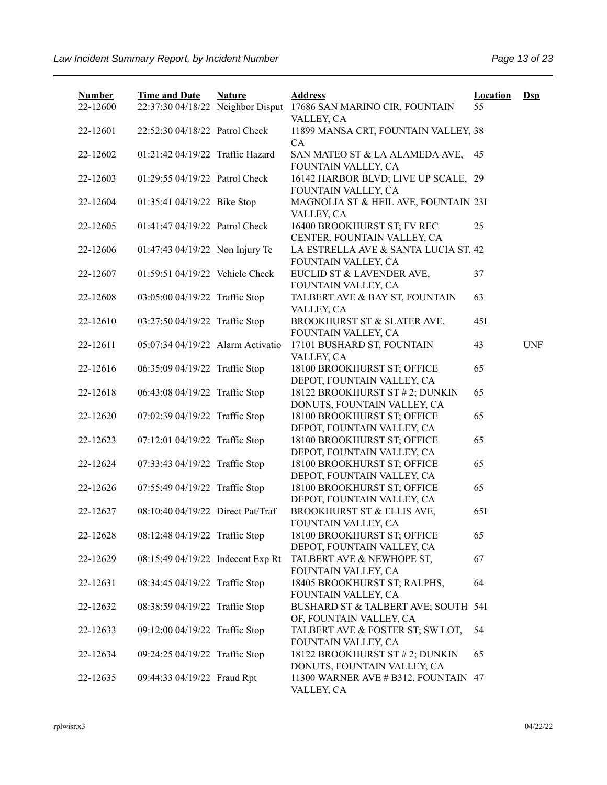| <b>Number</b><br>22-12600 | <b>Time and Date</b><br>22:37:30 04/18/22 Neighbor Disput | <b>Nature</b> | <b>Address</b><br>17686 SAN MARINO CIR, FOUNTAIN               | <b>Location</b><br>55 | $\mathbf{Dsp}$ |
|---------------------------|-----------------------------------------------------------|---------------|----------------------------------------------------------------|-----------------------|----------------|
| 22-12601                  | 22:52:30 04/18/22 Patrol Check                            |               | VALLEY, CA<br>11899 MANSA CRT, FOUNTAIN VALLEY, 38<br>CA       |                       |                |
| 22-12602                  | 01:21:42 04/19/22 Traffic Hazard                          |               | SAN MATEO ST & LA ALAMEDA AVE,<br>FOUNTAIN VALLEY, CA          | - 45                  |                |
| 22-12603                  | 01:29:55 04/19/22 Patrol Check                            |               | 16142 HARBOR BLVD; LIVE UP SCALE, 29<br>FOUNTAIN VALLEY, CA    |                       |                |
| 22-12604                  | 01:35:41 04/19/22 Bike Stop                               |               | MAGNOLIA ST & HEIL AVE, FOUNTAIN 23I<br>VALLEY, CA             |                       |                |
| 22-12605                  | 01:41:47 04/19/22 Patrol Check                            |               | 16400 BROOKHURST ST; FV REC<br>CENTER, FOUNTAIN VALLEY, CA     | 25                    |                |
| 22-12606                  | 01:47:43 04/19/22 Non Injury Tc                           |               | LA ESTRELLA AVE & SANTA LUCIA ST, 42<br>FOUNTAIN VALLEY, CA    |                       |                |
| 22-12607                  | 01:59:51 04/19/22 Vehicle Check                           |               | EUCLID ST & LAVENDER AVE,<br>FOUNTAIN VALLEY, CA               | 37                    |                |
| 22-12608                  | 03:05:00 04/19/22 Traffic Stop                            |               | TALBERT AVE & BAY ST, FOUNTAIN<br>VALLEY, CA                   | 63                    |                |
| 22-12610                  | 03:27:50 04/19/22 Traffic Stop                            |               | BROOKHURST ST & SLATER AVE,<br>FOUNTAIN VALLEY, CA             | 45I                   |                |
| 22-12611                  | 05:07:34 04/19/22 Alarm Activatio                         |               | 17101 BUSHARD ST, FOUNTAIN<br>VALLEY, CA                       | 43                    | <b>UNF</b>     |
| 22-12616                  | 06:35:09 04/19/22 Traffic Stop                            |               | 18100 BROOKHURST ST; OFFICE<br>DEPOT, FOUNTAIN VALLEY, CA      | 65                    |                |
| 22-12618                  | 06:43:08 04/19/22 Traffic Stop                            |               | 18122 BROOKHURST ST # 2; DUNKIN<br>DONUTS, FOUNTAIN VALLEY, CA | 65                    |                |
| 22-12620                  | 07:02:39 04/19/22 Traffic Stop                            |               | 18100 BROOKHURST ST; OFFICE<br>DEPOT, FOUNTAIN VALLEY, CA      | 65                    |                |
| 22-12623                  | 07:12:01 04/19/22 Traffic Stop                            |               | 18100 BROOKHURST ST; OFFICE<br>DEPOT, FOUNTAIN VALLEY, CA      | 65                    |                |
| 22-12624                  | 07:33:43 04/19/22 Traffic Stop                            |               | 18100 BROOKHURST ST; OFFICE<br>DEPOT, FOUNTAIN VALLEY, CA      | 65                    |                |
| 22-12626                  | 07:55:49 04/19/22 Traffic Stop                            |               | 18100 BROOKHURST ST; OFFICE<br>DEPOT, FOUNTAIN VALLEY, CA      | 65                    |                |
| 22-12627                  | 08:10:40 04/19/22 Direct Pat/Traf                         |               | BROOKHURST ST & ELLIS AVE,<br>FOUNTAIN VALLEY, CA              | 65I                   |                |
| 22-12628                  | 08:12:48 04/19/22 Traffic Stop                            |               | 18100 BROOKHURST ST; OFFICE<br>DEPOT, FOUNTAIN VALLEY, CA      | 65                    |                |
| 22-12629                  | 08:15:49 04/19/22 Indecent Exp Rt                         |               | TALBERT AVE & NEWHOPE ST,<br>FOUNTAIN VALLEY, CA               | 67                    |                |
| 22-12631                  | 08:34:45 04/19/22 Traffic Stop                            |               | 18405 BROOKHURST ST; RALPHS,<br>FOUNTAIN VALLEY, CA            | 64                    |                |
| 22-12632                  | 08:38:59 04/19/22 Traffic Stop                            |               | BUSHARD ST & TALBERT AVE; SOUTH 54I<br>OF, FOUNTAIN VALLEY, CA |                       |                |
| 22-12633                  | 09:12:00 04/19/22 Traffic Stop                            |               | TALBERT AVE & FOSTER ST; SW LOT,<br>FOUNTAIN VALLEY, CA        | 54                    |                |
| 22-12634                  | 09:24:25 04/19/22 Traffic Stop                            |               | 18122 BROOKHURST ST # 2; DUNKIN<br>DONUTS, FOUNTAIN VALLEY, CA | 65                    |                |
| 22-12635                  | 09:44:33 04/19/22 Fraud Rpt                               |               | 11300 WARNER AVE # B312, FOUNTAIN 47<br>VALLEY, CA             |                       |                |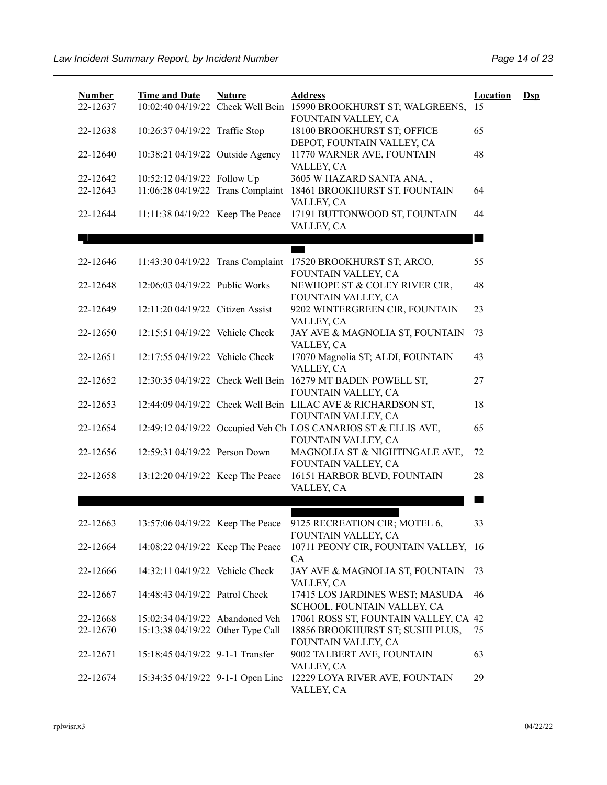| <b>Number</b><br>22-12637 | <b>Time and Date</b>                                             | <b>Nature</b> | <b>Address</b><br>10:02:40 04/19/22 Check Well Bein 15990 BROOKHURST ST; WALGREENS, 15 | <b>Location</b>           | $\mathbf{Dsp}$ |
|---------------------------|------------------------------------------------------------------|---------------|----------------------------------------------------------------------------------------|---------------------------|----------------|
| 22-12638                  | 10:26:37 04/19/22 Traffic Stop                                   |               | FOUNTAIN VALLEY, CA<br>18100 BROOKHURST ST; OFFICE<br>DEPOT, FOUNTAIN VALLEY, CA       | 65                        |                |
| 22-12640                  | 10:38:21 04/19/22 Outside Agency                                 |               | 11770 WARNER AVE, FOUNTAIN<br>VALLEY, CA                                               | 48                        |                |
| 22-12642<br>22-12643      | 10:52:12 04/19/22 Follow Up<br>11:06:28 04/19/22 Trans Complaint |               | 3605 W HAZARD SANTA ANA,,<br>18461 BROOKHURST ST, FOUNTAIN<br>VALLEY, CA               | 64                        |                |
| 22-12644                  | 11:11:38 04/19/22 Keep The Peace                                 |               | 17191 BUTTONWOOD ST, FOUNTAIN<br>VALLEY, CA                                            | 44                        |                |
|                           |                                                                  |               |                                                                                        | <b>The Second Service</b> |                |
| 22-12646                  |                                                                  |               | 11:43:30 04/19/22 Trans Complaint 17520 BROOKHURST ST; ARCO,<br>FOUNTAIN VALLEY, CA    | 55                        |                |
| 22-12648                  | 12:06:03 04/19/22 Public Works                                   |               | NEWHOPE ST & COLEY RIVER CIR,<br>FOUNTAIN VALLEY, CA                                   | 48                        |                |
| 22-12649                  | 12:11:20 04/19/22 Citizen Assist                                 |               | 9202 WINTERGREEN CIR, FOUNTAIN<br>VALLEY, CA                                           | 23                        |                |
| 22-12650                  | 12:15:51 04/19/22 Vehicle Check                                  |               | JAY AVE & MAGNOLIA ST, FOUNTAIN<br>VALLEY, CA                                          | 73                        |                |
| 22-12651                  | 12:17:55 04/19/22 Vehicle Check                                  |               | 17070 Magnolia ST; ALDI, FOUNTAIN<br>VALLEY, CA                                        | 43                        |                |
| 22-12652                  |                                                                  |               | 12:30:35 04/19/22 Check Well Bein 16279 MT BADEN POWELL ST,<br>FOUNTAIN VALLEY, CA     | 27                        |                |
| 22-12653                  |                                                                  |               | 12:44:09 04/19/22 Check Well Bein LILAC AVE & RICHARDSON ST,<br>FOUNTAIN VALLEY, CA    | 18                        |                |
| 22-12654                  |                                                                  |               | 12:49:12 04/19/22 Occupied Veh Ch LOS CANARIOS ST & ELLIS AVE,<br>FOUNTAIN VALLEY, CA  | 65                        |                |
| 22-12656                  | 12:59:31 04/19/22 Person Down                                    |               | MAGNOLIA ST & NIGHTINGALE AVE,<br>FOUNTAIN VALLEY, CA                                  | 72                        |                |
| 22-12658                  | 13:12:20 04/19/22 Keep The Peace                                 |               | 16151 HARBOR BLVD, FOUNTAIN<br>VALLEY, CA                                              | 28                        |                |
|                           |                                                                  |               |                                                                                        |                           |                |
| 22-12663                  | 13:57:06 04/19/22 Keep The Peace                                 |               | 9125 RECREATION CIR; MOTEL 6,<br>FOUNTAIN VALLEY, CA                                   | 33                        |                |
| 22-12664                  | 14:08:22 04/19/22 Keep The Peace                                 |               | 10711 PEONY CIR, FOUNTAIN VALLEY, 16<br><b>CA</b>                                      |                           |                |
| 22-12666                  | 14:32:11 04/19/22 Vehicle Check                                  |               | JAY AVE & MAGNOLIA ST, FOUNTAIN<br>VALLEY, CA                                          | 73                        |                |
| 22-12667                  | 14:48:43 04/19/22 Patrol Check                                   |               | 17415 LOS JARDINES WEST; MASUDA<br>SCHOOL, FOUNTAIN VALLEY, CA                         | 46                        |                |
| 22-12668                  | 15:02:34 04/19/22 Abandoned Veh                                  |               | 17061 ROSS ST, FOUNTAIN VALLEY, CA 42                                                  |                           |                |
| 22-12670                  | 15:13:38 04/19/22 Other Type Call                                |               | 18856 BROOKHURST ST; SUSHI PLUS,<br>FOUNTAIN VALLEY, CA                                | 75                        |                |
| 22-12671                  | 15:18:45 04/19/22 9-1-1 Transfer                                 |               | 9002 TALBERT AVE, FOUNTAIN<br>VALLEY, CA                                               | 63                        |                |
| 22-12674                  | 15:34:35 04/19/22 9-1-1 Open Line                                |               | 12229 LOYA RIVER AVE, FOUNTAIN<br>VALLEY, CA                                           | 29                        |                |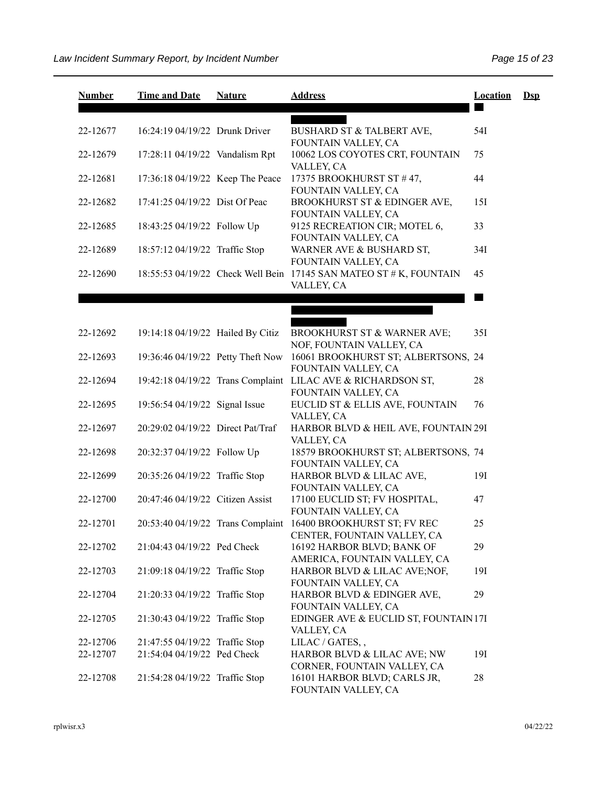| <b>Number</b> | <b>Time and Date</b>              | <b>Nature</b> | <b>Address</b>                                                                      | <b>Location</b> | $Ds$ |
|---------------|-----------------------------------|---------------|-------------------------------------------------------------------------------------|-----------------|------|
|               |                                   |               |                                                                                     |                 |      |
| 22-12677      | 16:24:19 04/19/22 Drunk Driver    |               | BUSHARD ST & TALBERT AVE,<br>FOUNTAIN VALLEY, CA                                    | 54I             |      |
| 22-12679      | 17:28:11 04/19/22 Vandalism Rpt   |               | 10062 LOS COYOTES CRT, FOUNTAIN<br>VALLEY, CA                                       | 75              |      |
| 22-12681      | 17:36:18 04/19/22 Keep The Peace  |               | 17375 BROOKHURST ST #47,<br>FOUNTAIN VALLEY, CA                                     | 44              |      |
| 22-12682      | 17:41:25 04/19/22 Dist Of Peac    |               | BROOKHURST ST & EDINGER AVE,<br>FOUNTAIN VALLEY, CA                                 | 15I             |      |
| 22-12685      | 18:43:25 04/19/22 Follow Up       |               | 9125 RECREATION CIR; MOTEL 6,<br>FOUNTAIN VALLEY, CA                                | 33              |      |
| 22-12689      | 18:57:12 04/19/22 Traffic Stop    |               | WARNER AVE & BUSHARD ST,<br>FOUNTAIN VALLEY, CA                                     | 34I             |      |
| 22-12690      |                                   |               | 18:55:53 04/19/22 Check Well Bein 17145 SAN MATEO ST # K, FOUNTAIN<br>VALLEY, CA    | 45              |      |
|               |                                   |               |                                                                                     |                 |      |
|               |                                   |               |                                                                                     |                 |      |
| 22-12692      | 19:14:18 04/19/22 Hailed By Citiz |               | BROOKHURST ST & WARNER AVE;<br>NOF, FOUNTAIN VALLEY, CA                             | 35I             |      |
| 22-12693      | 19:36:46 04/19/22 Petty Theft Now |               | 16061 BROOKHURST ST; ALBERTSONS, 24<br>FOUNTAIN VALLEY, CA                          |                 |      |
| 22-12694      |                                   |               | 19:42:18 04/19/22 Trans Complaint LILAC AVE & RICHARDSON ST,<br>FOUNTAIN VALLEY, CA | 28              |      |
| 22-12695      | 19:56:54 04/19/22 Signal Issue    |               | EUCLID ST & ELLIS AVE, FOUNTAIN<br>VALLEY, CA                                       | 76              |      |
| 22-12697      | 20:29:02 04/19/22 Direct Pat/Traf |               | HARBOR BLVD & HEIL AVE, FOUNTAIN 29I<br>VALLEY, CA                                  |                 |      |
| 22-12698      | 20:32:37 04/19/22 Follow Up       |               | 18579 BROOKHURST ST; ALBERTSONS, 74<br>FOUNTAIN VALLEY, CA                          |                 |      |
| 22-12699      | 20:35:26 04/19/22 Traffic Stop    |               | HARBOR BLVD & LILAC AVE,<br>FOUNTAIN VALLEY, CA                                     | 19I             |      |
| 22-12700      | 20:47:46 04/19/22 Citizen Assist  |               | 17100 EUCLID ST; FV HOSPITAL,<br>FOUNTAIN VALLEY, CA                                | 47              |      |
| 22-12701      | 20:53:40 04/19/22 Trans Complaint |               | 16400 BROOKHURST ST; FV REC<br>CENTER, FOUNTAIN VALLEY, CA                          | 25              |      |
| 22-12702      | 21:04:43 04/19/22 Ped Check       |               | 16192 HARBOR BLVD; BANK OF<br>AMERICA, FOUNTAIN VALLEY, CA                          | 29              |      |
| 22-12703      | 21:09:18 04/19/22 Traffic Stop    |               | HARBOR BLVD & LILAC AVE;NOF,<br>FOUNTAIN VALLEY, CA                                 | 191             |      |
| 22-12704      | 21:20:33 04/19/22 Traffic Stop    |               | HARBOR BLVD & EDINGER AVE,<br>FOUNTAIN VALLEY, CA                                   | 29              |      |
| 22-12705      | 21:30:43 04/19/22 Traffic Stop    |               | EDINGER AVE & EUCLID ST, FOUNTAIN 17I<br>VALLEY, CA                                 |                 |      |
| 22-12706      | 21:47:55 04/19/22 Traffic Stop    |               | LILAC / GATES,,                                                                     |                 |      |
| 22-12707      | 21:54:04 04/19/22 Ped Check       |               | HARBOR BLVD & LILAC AVE; NW<br>CORNER, FOUNTAIN VALLEY, CA                          | 19I             |      |
| 22-12708      | 21:54:28 04/19/22 Traffic Stop    |               | 16101 HARBOR BLVD; CARLS JR,<br>FOUNTAIN VALLEY, CA                                 | 28              |      |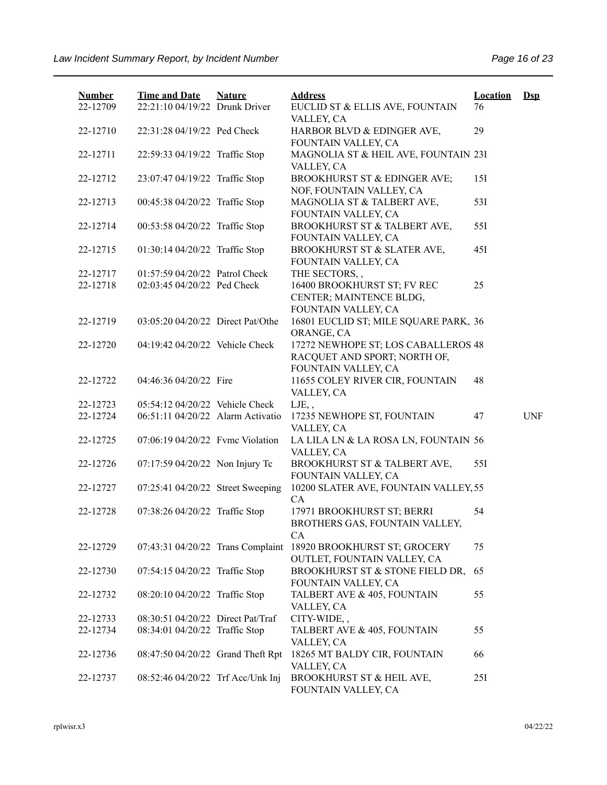| <b>Number</b><br>22-12709 | <b>Time and Date</b><br>22:21:10 04/19/22 Drunk Driver | <b>Nature</b> | <b>Address</b><br>EUCLID ST & ELLIS AVE, FOUNTAIN                                          | <b>Location</b><br>76 | $\mathbf{Dsp}$ |
|---------------------------|--------------------------------------------------------|---------------|--------------------------------------------------------------------------------------------|-----------------------|----------------|
| 22-12710                  | 22:31:28 04/19/22 Ped Check                            |               | VALLEY, CA<br>HARBOR BLVD & EDINGER AVE,<br>FOUNTAIN VALLEY, CA                            | 29                    |                |
| 22-12711                  | 22:59:33 04/19/22 Traffic Stop                         |               | MAGNOLIA ST & HEIL AVE, FOUNTAIN 23I<br>VALLEY, CA                                         |                       |                |
| 22-12712                  | 23:07:47 04/19/22 Traffic Stop                         |               | BROOKHURST ST & EDINGER AVE;<br>NOF, FOUNTAIN VALLEY, CA                                   | 15I                   |                |
| 22-12713                  | 00:45:38 04/20/22 Traffic Stop                         |               | MAGNOLIA ST & TALBERT AVE,<br>FOUNTAIN VALLEY, CA                                          | 53I                   |                |
| 22-12714                  | 00:53:58 04/20/22 Traffic Stop                         |               | BROOKHURST ST & TALBERT AVE,<br>FOUNTAIN VALLEY, CA                                        | 55I                   |                |
| 22-12715                  | 01:30:14 04/20/22 Traffic Stop                         |               | BROOKHURST ST & SLATER AVE,<br>FOUNTAIN VALLEY, CA                                         | 45I                   |                |
| 22-12717                  | 01:57:59 04/20/22 Patrol Check                         |               | THE SECTORS,,                                                                              |                       |                |
| 22-12718                  | 02:03:45 04/20/22 Ped Check                            |               | 16400 BROOKHURST ST; FV REC<br>CENTER; MAINTENCE BLDG,<br>FOUNTAIN VALLEY, CA              | 25                    |                |
| 22-12719                  | 03:05:20 04/20/22 Direct Pat/Othe                      |               | 16801 EUCLID ST; MILE SQUARE PARK, 36<br>ORANGE, CA                                        |                       |                |
| 22-12720                  | 04:19:42 04/20/22 Vehicle Check                        |               | 17272 NEWHOPE ST; LOS CABALLEROS 48<br>RACQUET AND SPORT; NORTH OF,<br>FOUNTAIN VALLEY, CA |                       |                |
| 22-12722                  | 04:46:36 04/20/22 Fire                                 |               | 11655 COLEY RIVER CIR, FOUNTAIN<br>VALLEY, CA                                              | 48                    |                |
| 22-12723                  | 05:54:12 04/20/22 Vehicle Check                        |               | LJE,,                                                                                      |                       |                |
| 22-12724                  | 06:51:11 04/20/22 Alarm Activatio                      |               | 17235 NEWHOPE ST, FOUNTAIN<br>VALLEY, CA                                                   | 47                    | <b>UNF</b>     |
| 22-12725                  | 07:06:19 04/20/22 Fvmc Violation                       |               | LA LILA LN & LA ROSA LN, FOUNTAIN 56<br>VALLEY, CA                                         |                       |                |
| 22-12726                  | 07:17:59 04/20/22 Non Injury Tc                        |               | BROOKHURST ST & TALBERT AVE,<br>FOUNTAIN VALLEY, CA                                        | 55I                   |                |
| 22-12727                  | 07:25:41 04/20/22 Street Sweeping                      |               | 10200 SLATER AVE, FOUNTAIN VALLEY, 55<br><b>CA</b>                                         |                       |                |
| 22-12728                  | 07:38:26 04/20/22 Traffic Stop                         |               | 17971 BROOKHURST ST; BERRI<br>BROTHERS GAS, FOUNTAIN VALLEY,<br>CA                         | 54                    |                |
| 22-12729                  | 07:43:31 04/20/22 Trans Complaint                      |               | 18920 BROOKHURST ST; GROCERY<br>OUTLET, FOUNTAIN VALLEY, CA                                | 75                    |                |
| 22-12730                  | 07:54:15 04/20/22 Traffic Stop                         |               | BROOKHURST ST & STONE FIELD DR,<br>FOUNTAIN VALLEY, CA                                     | 65                    |                |
| 22-12732                  | 08:20:10 04/20/22 Traffic Stop                         |               | TALBERT AVE & 405, FOUNTAIN<br>VALLEY, CA                                                  | 55                    |                |
| 22-12733                  | 08:30:51 04/20/22 Direct Pat/Traf                      |               | CITY-WIDE,,                                                                                |                       |                |
| 22-12734                  | 08:34:01 04/20/22 Traffic Stop                         |               | TALBERT AVE & 405, FOUNTAIN<br>VALLEY, CA                                                  | 55                    |                |
| 22-12736                  | 08:47:50 04/20/22 Grand Theft Rpt                      |               | 18265 MT BALDY CIR, FOUNTAIN<br>VALLEY, CA                                                 | 66                    |                |
| 22-12737                  | 08:52:46 04/20/22 Trf Acc/Unk Inj                      |               | BROOKHURST ST & HEIL AVE,<br>FOUNTAIN VALLEY, CA                                           | 25I                   |                |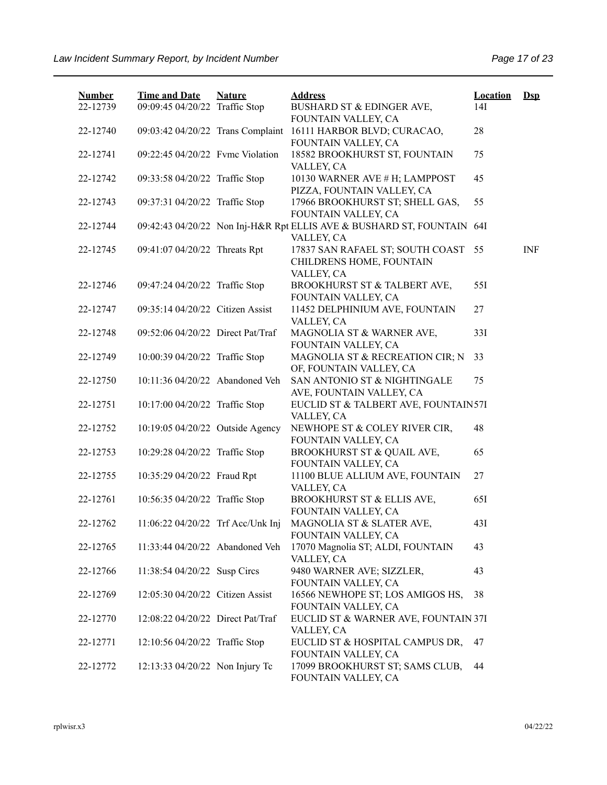| <b>Number</b> | <b>Time and Date</b>              | <b>Nature</b> | <b>Address</b>                                                                       | <b>Location</b> | $\mathbf{Dsp}$ |
|---------------|-----------------------------------|---------------|--------------------------------------------------------------------------------------|-----------------|----------------|
| 22-12739      | 09:09:45 04/20/22 Traffic Stop    |               | BUSHARD ST & EDINGER AVE,                                                            | 14I             |                |
|               |                                   |               | FOUNTAIN VALLEY, CA                                                                  | 28              |                |
| 22-12740      | 09:03:42 04/20/22 Trans Complaint |               | 16111 HARBOR BLVD; CURACAO,<br>FOUNTAIN VALLEY, CA                                   |                 |                |
| 22-12741      | 09:22:45 04/20/22 Fvmc Violation  |               | 18582 BROOKHURST ST, FOUNTAIN                                                        | 75              |                |
|               |                                   |               | VALLEY, CA                                                                           |                 |                |
| 22-12742      | 09:33:58 04/20/22 Traffic Stop    |               | 10130 WARNER AVE # H; LAMPPOST                                                       | 45              |                |
|               |                                   |               | PIZZA, FOUNTAIN VALLEY, CA                                                           |                 |                |
| 22-12743      | 09:37:31 04/20/22 Traffic Stop    |               | 17966 BROOKHURST ST; SHELL GAS,                                                      | 55              |                |
|               |                                   |               | FOUNTAIN VALLEY, CA                                                                  |                 |                |
| 22-12744      |                                   |               | 09:42:43 04/20/22 Non Inj-H&R Rpt ELLIS AVE & BUSHARD ST, FOUNTAIN 64I<br>VALLEY, CA |                 |                |
| 22-12745      | 09:41:07 04/20/22 Threats Rpt     |               | 17837 SAN RAFAEL ST; SOUTH COAST 55                                                  |                 | <b>INF</b>     |
|               |                                   |               | CHILDRENS HOME, FOUNTAIN                                                             |                 |                |
|               |                                   |               | VALLEY, CA                                                                           |                 |                |
| 22-12746      | 09:47:24 04/20/22 Traffic Stop    |               | BROOKHURST ST & TALBERT AVE,                                                         | 551             |                |
|               |                                   |               | FOUNTAIN VALLEY, CA                                                                  |                 |                |
| 22-12747      | 09:35:14 04/20/22 Citizen Assist  |               | 11452 DELPHINIUM AVE, FOUNTAIN                                                       | 27              |                |
|               |                                   |               | VALLEY, CA                                                                           |                 |                |
| 22-12748      | 09:52:06 04/20/22 Direct Pat/Traf |               | MAGNOLIA ST & WARNER AVE,                                                            | 33I             |                |
|               |                                   |               | FOUNTAIN VALLEY, CA                                                                  |                 |                |
| 22-12749      | 10:00:39 04/20/22 Traffic Stop    |               | MAGNOLIA ST & RECREATION CIR; N                                                      | 33              |                |
|               |                                   |               | OF, FOUNTAIN VALLEY, CA                                                              |                 |                |
| 22-12750      | 10:11:36 04/20/22 Abandoned Veh   |               | SAN ANTONIO ST & NIGHTINGALE<br>AVE, FOUNTAIN VALLEY, CA                             | 75              |                |
| 22-12751      | 10:17:00 04/20/22 Traffic Stop    |               | EUCLID ST & TALBERT AVE, FOUNTAIN57I                                                 |                 |                |
|               |                                   |               | VALLEY, CA                                                                           |                 |                |
| 22-12752      | 10:19:05 04/20/22 Outside Agency  |               | NEWHOPE ST & COLEY RIVER CIR,                                                        | 48              |                |
|               |                                   |               | FOUNTAIN VALLEY, CA                                                                  |                 |                |
| 22-12753      | 10:29:28 04/20/22 Traffic Stop    |               | BROOKHURST ST & QUAIL AVE,                                                           | 65              |                |
|               |                                   |               | FOUNTAIN VALLEY, CA                                                                  |                 |                |
| 22-12755      | 10:35:29 04/20/22 Fraud Rpt       |               | 11100 BLUE ALLIUM AVE, FOUNTAIN                                                      | 27              |                |
|               |                                   |               | VALLEY, CA                                                                           |                 |                |
| 22-12761      | 10:56:35 04/20/22 Traffic Stop    |               | BROOKHURST ST & ELLIS AVE,                                                           | 651             |                |
|               |                                   |               | FOUNTAIN VALLEY, CA                                                                  |                 |                |
| 22-12762      | 11:06:22 04/20/22 Trf Acc/Unk Inj |               | MAGNOLIA ST & SLATER AVE,<br>FOUNTAIN VALLEY, CA                                     | 43I             |                |
| 22-12765      | 11:33:44 04/20/22 Abandoned Veh   |               | 17070 Magnolia ST; ALDI, FOUNTAIN                                                    | 43              |                |
|               |                                   |               | VALLEY, CA                                                                           |                 |                |
| 22-12766      | 11:38:54 04/20/22 Susp Circs      |               | 9480 WARNER AVE; SIZZLER,                                                            | 43              |                |
|               |                                   |               | FOUNTAIN VALLEY, CA                                                                  |                 |                |
| 22-12769      | 12:05:30 04/20/22 Citizen Assist  |               | 16566 NEWHOPE ST; LOS AMIGOS HS,                                                     | 38              |                |
|               |                                   |               | FOUNTAIN VALLEY, CA                                                                  |                 |                |
| 22-12770      | 12:08:22 04/20/22 Direct Pat/Traf |               | EUCLID ST & WARNER AVE, FOUNTAIN 37I                                                 |                 |                |
|               |                                   |               | VALLEY, CA                                                                           |                 |                |
| 22-12771      | 12:10:56 04/20/22 Traffic Stop    |               | EUCLID ST & HOSPITAL CAMPUS DR,                                                      | 47              |                |
|               |                                   |               | FOUNTAIN VALLEY, CA                                                                  |                 |                |
| 22-12772      | 12:13:33 04/20/22 Non Injury Tc   |               | 17099 BROOKHURST ST; SAMS CLUB,                                                      | 44              |                |
|               |                                   |               | FOUNTAIN VALLEY, CA                                                                  |                 |                |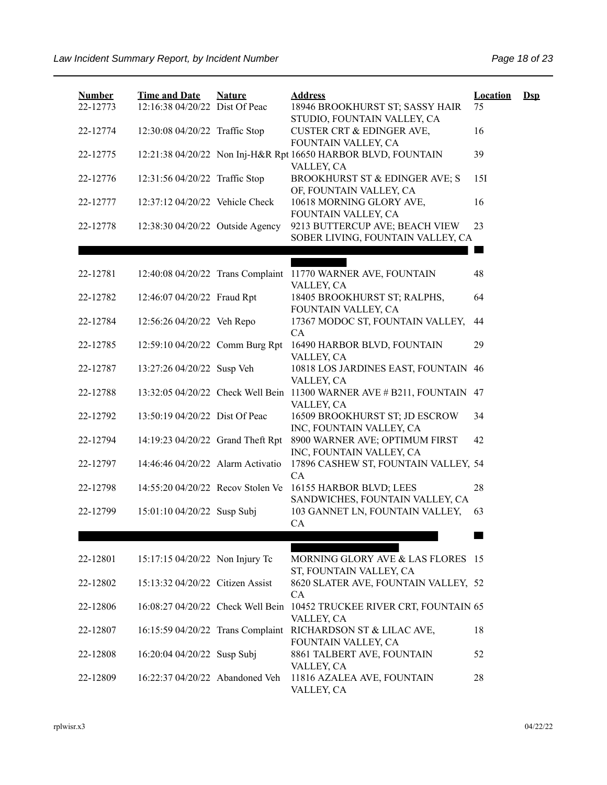| <b>Number</b> | <b>Time and Date</b>              | <b>Nature</b> | <b>Address</b>                                                              | <b>Location</b> | $\mathbf{Dsp}$ |
|---------------|-----------------------------------|---------------|-----------------------------------------------------------------------------|-----------------|----------------|
| 22-12773      | 12:16:38 04/20/22 Dist Of Peac    |               | 18946 BROOKHURST ST; SASSY HAIR<br>STUDIO, FOUNTAIN VALLEY, CA              | 75              |                |
| 22-12774      | 12:30:08 04/20/22 Traffic Stop    |               | <b>CUSTER CRT &amp; EDINGER AVE,</b><br>FOUNTAIN VALLEY, CA                 | 16              |                |
| 22-12775      |                                   |               | 12:21:38 04/20/22 Non Inj-H&R Rpt 16650 HARBOR BLVD, FOUNTAIN<br>VALLEY, CA | 39              |                |
| 22-12776      | 12:31:56 04/20/22 Traffic Stop    |               | BROOKHURST ST & EDINGER AVE; S<br>OF, FOUNTAIN VALLEY, CA                   | 15I             |                |
| 22-12777      | 12:37:12 04/20/22 Vehicle Check   |               | 10618 MORNING GLORY AVE,<br>FOUNTAIN VALLEY, CA                             | 16              |                |
| 22-12778      | 12:38:30 04/20/22 Outside Agency  |               | 9213 BUTTERCUP AVE; BEACH VIEW<br>SOBER LIVING, FOUNTAIN VALLEY, CA         | 23              |                |
|               |                                   |               |                                                                             |                 |                |
| 22-12781      |                                   |               | 12:40:08 04/20/22 Trans Complaint 11770 WARNER AVE, FOUNTAIN<br>VALLEY, CA  | 48              |                |
| 22-12782      | 12:46:07 04/20/22 Fraud Rpt       |               | 18405 BROOKHURST ST; RALPHS,<br>FOUNTAIN VALLEY, CA                         | 64              |                |
| 22-12784      | 12:56:26 04/20/22 Veh Repo        |               | 17367 MODOC ST, FOUNTAIN VALLEY,<br>CA                                      | 44              |                |
| 22-12785      | 12:59:10 04/20/22 Comm Burg Rpt   |               | 16490 HARBOR BLVD, FOUNTAIN<br>VALLEY, CA                                   | 29              |                |
| 22-12787      | 13:27:26 04/20/22 Susp Veh        |               | 10818 LOS JARDINES EAST, FOUNTAIN<br>VALLEY, CA                             | 46              |                |
| 22-12788      | 13:32:05 04/20/22 Check Well Bein |               | 11300 WARNER AVE # B211, FOUNTAIN                                           | 47              |                |
| 22-12792      | 13:50:19 04/20/22 Dist Of Peac    |               | VALLEY, CA<br>16509 BROOKHURST ST; JD ESCROW                                | 34              |                |
| 22-12794      | 14:19:23 04/20/22 Grand Theft Rpt |               | INC, FOUNTAIN VALLEY, CA<br>8900 WARNER AVE; OPTIMUM FIRST                  | 42              |                |
| 22-12797      | 14:46:46 04/20/22 Alarm Activatio |               | INC, FOUNTAIN VALLEY, CA<br>17896 CASHEW ST, FOUNTAIN VALLEY, 54            |                 |                |
| 22-12798      | 14:55:20 04/20/22 Recov Stolen Ve |               | CA<br>16155 HARBOR BLVD; LEES                                               | 28              |                |
| 22-12799      | 15:01:10 04/20/22 Susp Subj       |               | SANDWICHES, FOUNTAIN VALLEY, CA<br>103 GANNET LN, FOUNTAIN VALLEY,          | 63              |                |
|               |                                   |               | CA                                                                          |                 |                |
| 22-12801      | 15:17:15 04/20/22 Non Injury Tc   |               | MORNING GLORY AVE & LAS FLORES 15                                           |                 |                |
| 22-12802      | 15:13:32 04/20/22 Citizen Assist  |               | ST, FOUNTAIN VALLEY, CA<br>8620 SLATER AVE, FOUNTAIN VALLEY, 52             |                 |                |
| 22-12806      | 16:08:27 04/20/22 Check Well Bein |               | CA<br>10452 TRUCKEE RIVER CRT, FOUNTAIN 65                                  |                 |                |
| 22-12807      | 16:15:59 04/20/22 Trans Complaint |               | VALLEY, CA<br>RICHARDSON ST & LILAC AVE,                                    | 18              |                |
| 22-12808      | 16:20:04 04/20/22 Susp Subj       |               | FOUNTAIN VALLEY, CA<br>8861 TALBERT AVE, FOUNTAIN                           | 52              |                |
| 22-12809      | 16:22:37 04/20/22 Abandoned Veh   |               | VALLEY, CA<br>11816 AZALEA AVE, FOUNTAIN<br>VALLEY, CA                      | 28              |                |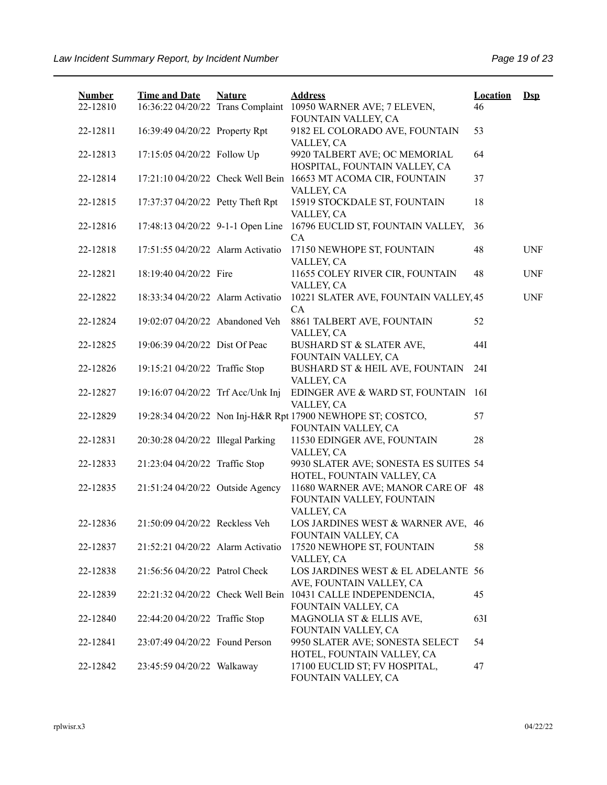| <b>Number</b><br>22-12810 | <b>Time and Date</b><br>16:36:22 04/20/22 Trans Complaint | <b>Nature</b> | <b>Address</b><br>10950 WARNER AVE; 7 ELEVEN,<br>FOUNTAIN VALLEY, CA                | <b>Location</b><br>46 | $DsD$      |
|---------------------------|-----------------------------------------------------------|---------------|-------------------------------------------------------------------------------------|-----------------------|------------|
| 22-12811                  | 16:39:49 04/20/22 Property Rpt                            |               | 9182 EL COLORADO AVE, FOUNTAIN<br>VALLEY, CA                                        | 53                    |            |
| 22-12813                  | 17:15:05 04/20/22 Follow Up                               |               | 9920 TALBERT AVE; OC MEMORIAL<br>HOSPITAL, FOUNTAIN VALLEY, CA                      | 64                    |            |
| 22-12814                  |                                                           |               | 17:21:10 04/20/22 Check Well Bein 16653 MT ACOMA CIR, FOUNTAIN<br>VALLEY, CA        | 37                    |            |
| 22-12815                  | 17:37:37 04/20/22 Petty Theft Rpt                         |               | 15919 STOCKDALE ST, FOUNTAIN<br>VALLEY, CA                                          | 18                    |            |
| 22-12816                  | 17:48:13 04/20/22 9-1-1 Open Line                         |               | 16796 EUCLID ST, FOUNTAIN VALLEY,<br>CA                                             | 36                    |            |
| 22-12818                  | 17:51:55 04/20/22 Alarm Activatio                         |               | 17150 NEWHOPE ST, FOUNTAIN<br>VALLEY, CA                                            | 48                    | <b>UNF</b> |
| 22-12821                  | 18:19:40 04/20/22 Fire                                    |               | 11655 COLEY RIVER CIR, FOUNTAIN<br>VALLEY, CA                                       | 48                    | <b>UNF</b> |
| 22-12822                  | 18:33:34 04/20/22 Alarm Activatio                         |               | 10221 SLATER AVE, FOUNTAIN VALLEY, 45<br>CA                                         |                       | <b>UNF</b> |
| 22-12824                  | 19:02:07 04/20/22 Abandoned Veh                           |               | 8861 TALBERT AVE, FOUNTAIN<br>VALLEY, CA                                            | 52                    |            |
| 22-12825                  | 19:06:39 04/20/22 Dist Of Peac                            |               | BUSHARD ST & SLATER AVE,<br>FOUNTAIN VALLEY, CA                                     | 44I                   |            |
| 22-12826                  | 19:15:21 04/20/22 Traffic Stop                            |               | BUSHARD ST & HEIL AVE, FOUNTAIN<br>VALLEY, CA                                       | 24I                   |            |
| 22-12827                  | 19:16:07 04/20/22 Trf Acc/Unk Inj                         |               | EDINGER AVE & WARD ST, FOUNTAIN<br>VALLEY, CA                                       | 16I                   |            |
| 22-12829                  |                                                           |               | 19:28:34 04/20/22 Non Inj-H&R Rpt 17900 NEWHOPE ST; COSTCO,<br>FOUNTAIN VALLEY, CA  | 57                    |            |
| 22-12831                  | 20:30:28 04/20/22 Illegal Parking                         |               | 11530 EDINGER AVE, FOUNTAIN<br>VALLEY, CA                                           | 28                    |            |
| 22-12833                  | 21:23:04 04/20/22 Traffic Stop                            |               | 9930 SLATER AVE; SONESTA ES SUITES 54<br>HOTEL, FOUNTAIN VALLEY, CA                 |                       |            |
| 22-12835                  | 21:51:24 04/20/22 Outside Agency                          |               | 11680 WARNER AVE; MANOR CARE OF 48<br>FOUNTAIN VALLEY, FOUNTAIN<br>VALLEY, CA       |                       |            |
| 22-12836                  | 21:50:09 04/20/22 Reckless Veh                            |               | LOS JARDINES WEST & WARNER AVE, 46<br>FOUNTAIN VALLEY, CA                           |                       |            |
| 22-12837                  | 21:52:21 04/20/22 Alarm Activatio                         |               | 17520 NEWHOPE ST, FOUNTAIN<br>VALLEY, CA                                            | 58                    |            |
| 22-12838                  | 21:56:56 04/20/22 Patrol Check                            |               | LOS JARDINES WEST & EL ADELANTE 56<br>AVE, FOUNTAIN VALLEY, CA                      |                       |            |
| 22-12839                  |                                                           |               | 22:21:32 04/20/22 Check Well Bein 10431 CALLE INDEPENDENCIA,<br>FOUNTAIN VALLEY, CA | 45                    |            |
| 22-12840                  | 22:44:20 04/20/22 Traffic Stop                            |               | MAGNOLIA ST & ELLIS AVE,<br>FOUNTAIN VALLEY, CA                                     | 63I                   |            |
| 22-12841                  | 23:07:49 04/20/22 Found Person                            |               | 9950 SLATER AVE; SONESTA SELECT<br>HOTEL, FOUNTAIN VALLEY, CA                       | 54                    |            |
| 22-12842                  | 23:45:59 04/20/22 Walkaway                                |               | 17100 EUCLID ST; FV HOSPITAL,<br>FOUNTAIN VALLEY, CA                                | 47                    |            |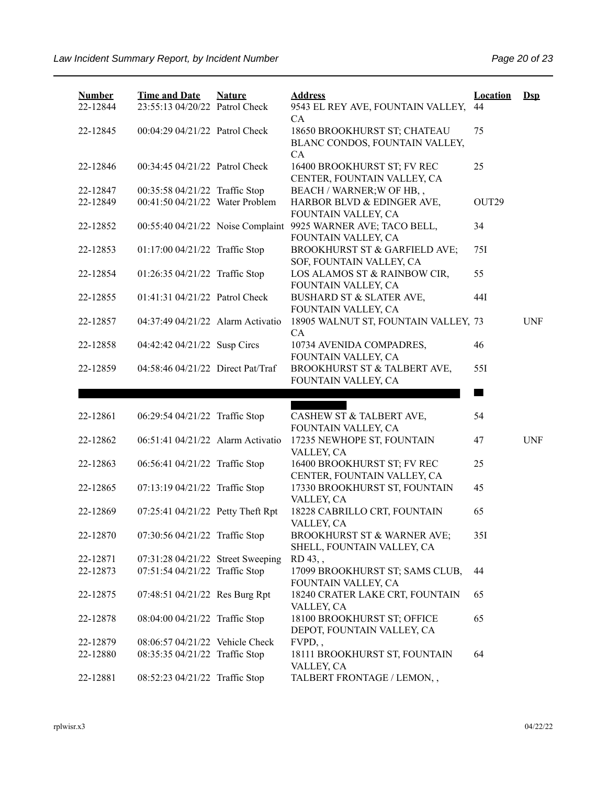| <b>Number</b><br>22-12844 | <b>Time and Date</b><br>23:55:13 04/20/22 Patrol Check | <b>Nature</b> | <b>Address</b><br>9543 EL REY AVE, FOUNTAIN VALLEY,<br>CA               | <b>Location</b><br>44 | $Ds$       |
|---------------------------|--------------------------------------------------------|---------------|-------------------------------------------------------------------------|-----------------------|------------|
| 22-12845                  | 00:04:29 04/21/22 Patrol Check                         |               | 18650 BROOKHURST ST; CHATEAU<br>BLANC CONDOS, FOUNTAIN VALLEY,<br>CA    | 75                    |            |
| 22-12846                  | 00:34:45 04/21/22 Patrol Check                         |               | 16400 BROOKHURST ST; FV REC<br>CENTER, FOUNTAIN VALLEY, CA              | 25                    |            |
| 22-12847                  | 00:35:58 04/21/22 Traffic Stop                         |               | BEACH / WARNER; W OF HB,,                                               |                       |            |
| 22-12849                  | 00:41:50 04/21/22 Water Problem                        |               | HARBOR BLVD & EDINGER AVE,<br>FOUNTAIN VALLEY, CA                       | OUT <sub>29</sub>     |            |
| 22-12852                  | 00:55:40 04/21/22 Noise Complaint                      |               | 9925 WARNER AVE; TACO BELL,<br>FOUNTAIN VALLEY, CA                      | 34                    |            |
| 22-12853                  | 01:17:00 04/21/22 Traffic Stop                         |               | BROOKHURST ST & GARFIELD AVE;<br>SOF, FOUNTAIN VALLEY, CA               | 75I                   |            |
| 22-12854                  | 01:26:35 04/21/22 Traffic Stop                         |               | LOS ALAMOS ST & RAINBOW CIR,<br>FOUNTAIN VALLEY, CA                     | 55                    |            |
| 22-12855                  | 01:41:31 04/21/22 Patrol Check                         |               | <b>BUSHARD ST &amp; SLATER AVE,</b><br>FOUNTAIN VALLEY, CA              | 44I                   |            |
| 22-12857                  | 04:37:49 04/21/22 Alarm Activatio                      |               | 18905 WALNUT ST, FOUNTAIN VALLEY, 73<br>CA                              |                       | <b>UNF</b> |
| 22-12858                  | 04:42:42 04/21/22 Susp Circs                           |               | 10734 AVENIDA COMPADRES,<br>FOUNTAIN VALLEY, CA                         | 46                    |            |
| 22-12859                  | 04:58:46 04/21/22 Direct Pat/Traf                      |               | BROOKHURST ST & TALBERT AVE,<br>FOUNTAIN VALLEY, CA                     | 551                   |            |
|                           |                                                        |               |                                                                         |                       |            |
|                           |                                                        |               |                                                                         |                       |            |
|                           |                                                        |               |                                                                         |                       |            |
| 22-12861                  | 06:29:54 04/21/22 Traffic Stop                         |               | CASHEW ST & TALBERT AVE,<br>FOUNTAIN VALLEY, CA                         | 54                    |            |
| 22-12862                  | 06:51:41 04/21/22 Alarm Activatio                      |               | 17235 NEWHOPE ST, FOUNTAIN                                              | 47                    | <b>UNF</b> |
| 22-12863                  | 06:56:41 04/21/22 Traffic Stop                         |               | VALLEY, CA<br>16400 BROOKHURST ST; FV REC                               | 25                    |            |
| 22-12865                  | 07:13:19 04/21/22 Traffic Stop                         |               | CENTER, FOUNTAIN VALLEY, CA<br>17330 BROOKHURST ST, FOUNTAIN            | 45                    |            |
| 22-12869                  | 07:25:41 04/21/22 Petty Theft Rpt                      |               | VALLEY, CA<br>18228 CABRILLO CRT, FOUNTAIN                              | 65                    |            |
| 22-12870                  | 07:30:56 04/21/22 Traffic Stop                         |               | VALLEY, CA<br>BROOKHURST ST & WARNER AVE;<br>SHELL, FOUNTAIN VALLEY, CA | 35I                   |            |
| 22-12871                  | 07:31:28 04/21/22 Street Sweeping                      |               | RD 43,                                                                  |                       |            |
| 22-12873                  | 07:51:54 04/21/22 Traffic Stop                         |               | 17099 BROOKHURST ST; SAMS CLUB,<br>FOUNTAIN VALLEY, CA                  | 44                    |            |
| 22-12875                  | 07:48:51 04/21/22 Res Burg Rpt                         |               | 18240 CRATER LAKE CRT, FOUNTAIN<br>VALLEY, CA                           | 65                    |            |
| 22-12878                  | 08:04:00 04/21/22 Traffic Stop                         |               | 18100 BROOKHURST ST; OFFICE<br>DEPOT, FOUNTAIN VALLEY, CA               | 65                    |            |
| 22-12879                  | 08:06:57 04/21/22 Vehicle Check                        |               | FVPD                                                                    |                       |            |
| 22-12880                  | 08:35:35 04/21/22 Traffic Stop                         |               | 18111 BROOKHURST ST, FOUNTAIN<br>VALLEY, CA                             | 64                    |            |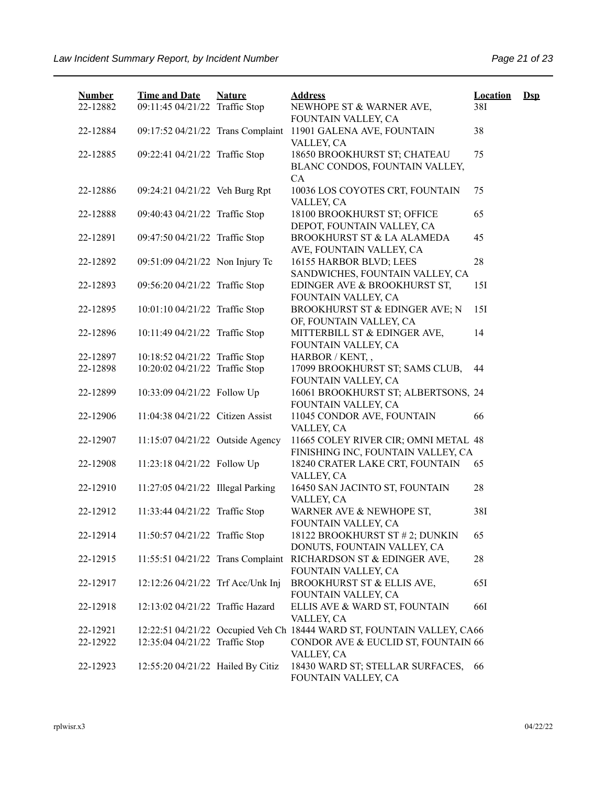| <b>Number</b><br>22-12882 | <b>Time and Date</b><br>09:11:45 04/21/22 Traffic Stop | <b>Nature</b> | <b>Address</b><br>NEWHOPE ST & WARNER AVE,                                  | <b>Location</b><br>38I | $\mathbf{Dsp}$ |
|---------------------------|--------------------------------------------------------|---------------|-----------------------------------------------------------------------------|------------------------|----------------|
| 22-12884                  | 09:17:52 04/21/22 Trans Complaint                      |               | FOUNTAIN VALLEY, CA<br>11901 GALENA AVE, FOUNTAIN<br>VALLEY, CA             | 38                     |                |
| 22-12885                  | 09:22:41 04/21/22 Traffic Stop                         |               | 18650 BROOKHURST ST; CHATEAU<br>BLANC CONDOS, FOUNTAIN VALLEY,<br><b>CA</b> | 75                     |                |
| 22-12886                  | 09:24:21 04/21/22 Veh Burg Rpt                         |               | 10036 LOS COYOTES CRT, FOUNTAIN<br>VALLEY, CA                               | 75                     |                |
| 22-12888                  | 09:40:43 04/21/22 Traffic Stop                         |               | 18100 BROOKHURST ST; OFFICE<br>DEPOT, FOUNTAIN VALLEY, CA                   | 65                     |                |
| 22-12891                  | 09:47:50 04/21/22 Traffic Stop                         |               | BROOKHURST ST & LA ALAMEDA<br>AVE, FOUNTAIN VALLEY, CA                      | 45                     |                |
| 22-12892                  | 09:51:09 04/21/22 Non Injury Tc                        |               | 16155 HARBOR BLVD; LEES<br>SANDWICHES, FOUNTAIN VALLEY, CA                  | 28                     |                |
| 22-12893                  | 09:56:20 04/21/22 Traffic Stop                         |               | EDINGER AVE & BROOKHURST ST,<br>FOUNTAIN VALLEY, CA                         | 151                    |                |
| 22-12895                  | 10:01:10 04/21/22 Traffic Stop                         |               | <b>BROOKHURST ST &amp; EDINGER AVE; N</b><br>OF, FOUNTAIN VALLEY, CA        | 15I                    |                |
| 22-12896                  | 10:11:49 04/21/22 Traffic Stop                         |               | MITTERBILL ST & EDINGER AVE,<br>FOUNTAIN VALLEY, CA                         | 14                     |                |
| 22-12897                  | 10:18:52 04/21/22 Traffic Stop                         |               | HARBOR / KENT,,                                                             |                        |                |
| 22-12898                  | 10:20:02 04/21/22 Traffic Stop                         |               | 17099 BROOKHURST ST; SAMS CLUB,<br>FOUNTAIN VALLEY, CA                      | 44                     |                |
| 22-12899                  | 10:33:09 04/21/22 Follow Up                            |               | 16061 BROOKHURST ST; ALBERTSONS, 24<br>FOUNTAIN VALLEY, CA                  |                        |                |
| 22-12906                  | 11:04:38 04/21/22 Citizen Assist                       |               | 11045 CONDOR AVE, FOUNTAIN<br>VALLEY, CA                                    | 66                     |                |
| 22-12907                  | 11:15:07 04/21/22 Outside Agency                       |               | 11665 COLEY RIVER CIR; OMNI METAL 48<br>FINISHING INC, FOUNTAIN VALLEY, CA  |                        |                |
| 22-12908                  | 11:23:18 04/21/22 Follow Up                            |               | 18240 CRATER LAKE CRT, FOUNTAIN<br>VALLEY, CA                               | 65                     |                |
| 22-12910                  | 11:27:05 04/21/22 Illegal Parking                      |               | 16450 SAN JACINTO ST, FOUNTAIN<br>VALLEY, CA                                | 28                     |                |
| 22-12912                  | 11:33:44 04/21/22 Traffic Stop                         |               | WARNER AVE & NEWHOPE ST,<br>FOUNTAIN VALLEY, CA                             | 38I                    |                |
| 22-12914                  | 11:50:57 04/21/22 Traffic Stop                         |               | 18122 BROOKHURST ST # 2; DUNKIN<br>DONUTS, FOUNTAIN VALLEY, CA              | 65                     |                |
| 22-12915                  | 11:55:51 04/21/22 Trans Complaint                      |               | RICHARDSON ST & EDINGER AVE,<br>FOUNTAIN VALLEY, CA                         | 28                     |                |
| 22-12917                  | 12:12:26 04/21/22 Trf Acc/Unk Inj                      |               | BROOKHURST ST & ELLIS AVE,<br>FOUNTAIN VALLEY, CA                           | 651                    |                |
| 22-12918                  | 12:13:02 04/21/22 Traffic Hazard                       |               | ELLIS AVE & WARD ST, FOUNTAIN<br>VALLEY, CA                                 | <b>66I</b>             |                |
| 22-12921                  |                                                        |               | 12:22:51 04/21/22 Occupied Veh Ch 18444 WARD ST, FOUNTAIN VALLEY, CA66      |                        |                |
| 22-12922                  | 12:35:04 04/21/22 Traffic Stop                         |               | CONDOR AVE & EUCLID ST, FOUNTAIN 66<br>VALLEY, CA                           |                        |                |
| 22-12923                  | 12:55:20 04/21/22 Hailed By Citiz                      |               | 18430 WARD ST; STELLAR SURFACES,<br>FOUNTAIN VALLEY, CA                     | 66                     |                |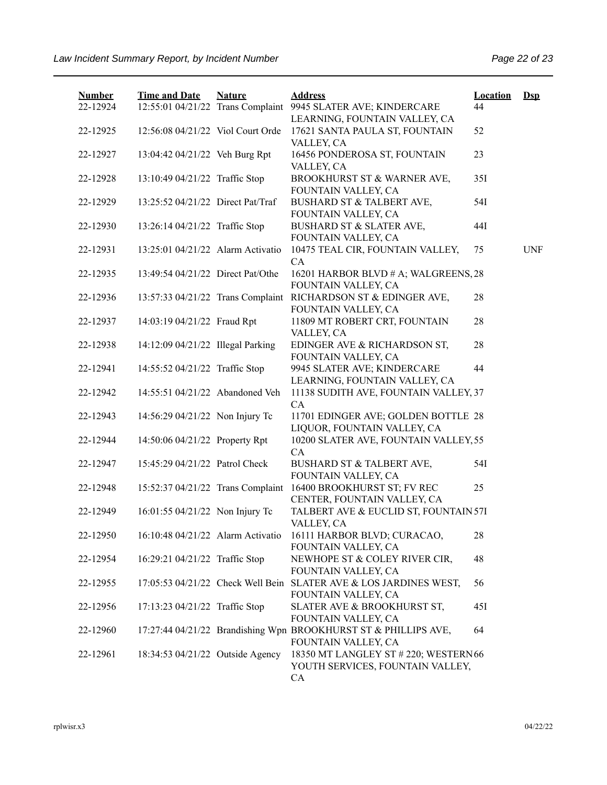| <b>Number</b><br>22-12924 | <b>Time and Date</b><br>12:55:01 04/21/22 Trans Complaint | <b>Nature</b> | <b>Address</b><br>9945 SLATER AVE; KINDERCARE                                            | <b>Location</b><br>44 | $Ds$       |
|---------------------------|-----------------------------------------------------------|---------------|------------------------------------------------------------------------------------------|-----------------------|------------|
| 22-12925                  | 12:56:08 04/21/22 Viol Court Orde                         |               | LEARNING, FOUNTAIN VALLEY, CA<br>17621 SANTA PAULA ST, FOUNTAIN<br>VALLEY, CA            | 52                    |            |
| 22-12927                  | 13:04:42 04/21/22 Veh Burg Rpt                            |               | 16456 PONDEROSA ST, FOUNTAIN<br>VALLEY, CA                                               | 23                    |            |
| 22-12928                  | 13:10:49 04/21/22 Traffic Stop                            |               | BROOKHURST ST & WARNER AVE,<br>FOUNTAIN VALLEY, CA                                       | 35I                   |            |
| 22-12929                  | 13:25:52 04/21/22 Direct Pat/Traf                         |               | <b>BUSHARD ST &amp; TALBERT AVE,</b><br>FOUNTAIN VALLEY, CA                              | 54I                   |            |
| 22-12930                  | 13:26:14 04/21/22 Traffic Stop                            |               | BUSHARD ST & SLATER AVE,<br>FOUNTAIN VALLEY, CA                                          | 44I                   |            |
| 22-12931                  | 13:25:01 04/21/22 Alarm Activatio                         |               | 10475 TEAL CIR, FOUNTAIN VALLEY,<br>CA                                                   | 75                    | <b>UNF</b> |
| 22-12935                  | 13:49:54 04/21/22 Direct Pat/Othe                         |               | 16201 HARBOR BLVD # A; WALGREENS, 28<br>FOUNTAIN VALLEY, CA                              |                       |            |
| 22-12936                  | 13:57:33 04/21/22 Trans Complaint                         |               | RICHARDSON ST & EDINGER AVE,<br>FOUNTAIN VALLEY, CA                                      | 28                    |            |
| 22-12937                  | 14:03:19 04/21/22 Fraud Rpt                               |               | 11809 MT ROBERT CRT, FOUNTAIN<br>VALLEY, CA                                              | 28                    |            |
| 22-12938                  | 14:12:09 04/21/22 Illegal Parking                         |               | EDINGER AVE & RICHARDSON ST,<br>FOUNTAIN VALLEY, CA                                      | 28                    |            |
| 22-12941                  | 14:55:52 04/21/22 Traffic Stop                            |               | 9945 SLATER AVE; KINDERCARE<br>LEARNING, FOUNTAIN VALLEY, CA                             | 44                    |            |
| 22-12942                  | 14:55:51 04/21/22 Abandoned Veh                           |               | 11138 SUDITH AVE, FOUNTAIN VALLEY, 37<br>CA                                              |                       |            |
| 22-12943                  | 14:56:29 04/21/22 Non Injury Tc                           |               | 11701 EDINGER AVE; GOLDEN BOTTLE 28<br>LIQUOR, FOUNTAIN VALLEY, CA                       |                       |            |
| 22-12944                  | 14:50:06 04/21/22 Property Rpt                            |               | 10200 SLATER AVE, FOUNTAIN VALLEY, 55<br>CA                                              |                       |            |
| 22-12947                  | 15:45:29 04/21/22 Patrol Check                            |               | BUSHARD ST & TALBERT AVE,<br>FOUNTAIN VALLEY, CA                                         | 54I                   |            |
| 22-12948                  | 15:52:37 04/21/22 Trans Complaint                         |               | 16400 BROOKHURST ST; FV REC<br>CENTER, FOUNTAIN VALLEY, CA                               | 25                    |            |
| 22-12949                  | 16:01:55 04/21/22 Non Injury Tc                           |               | TALBERT AVE & EUCLID ST, FOUNTAIN 57I<br>VALLEY, CA                                      |                       |            |
| 22-12950                  | 16:10:48 04/21/22 Alarm Activatio                         |               | 16111 HARBOR BLVD; CURACAO,<br>FOUNTAIN VALLEY, CA                                       | 28                    |            |
| 22-12954                  | 16:29:21 04/21/22 Traffic Stop                            |               | NEWHOPE ST & COLEY RIVER CIR,<br>FOUNTAIN VALLEY, CA                                     | 48                    |            |
| 22-12955                  |                                                           |               | 17:05:53 04/21/22 Check Well Bein SLATER AVE & LOS JARDINES WEST,<br>FOUNTAIN VALLEY, CA | 56                    |            |
| 22-12956                  | 17:13:23 04/21/22 Traffic Stop                            |               | SLATER AVE & BROOKHURST ST,<br>FOUNTAIN VALLEY, CA                                       | 45I                   |            |
| 22-12960                  |                                                           |               | 17:27:44 04/21/22 Brandishing Wpn BROOKHURST ST & PHILLIPS AVE,<br>FOUNTAIN VALLEY, CA   | 64                    |            |
| 22-12961                  | 18:34:53 04/21/22 Outside Agency                          |               | 18350 MT LANGLEY ST # 220; WESTERN 66<br>YOUTH SERVICES, FOUNTAIN VALLEY,<br>CA          |                       |            |